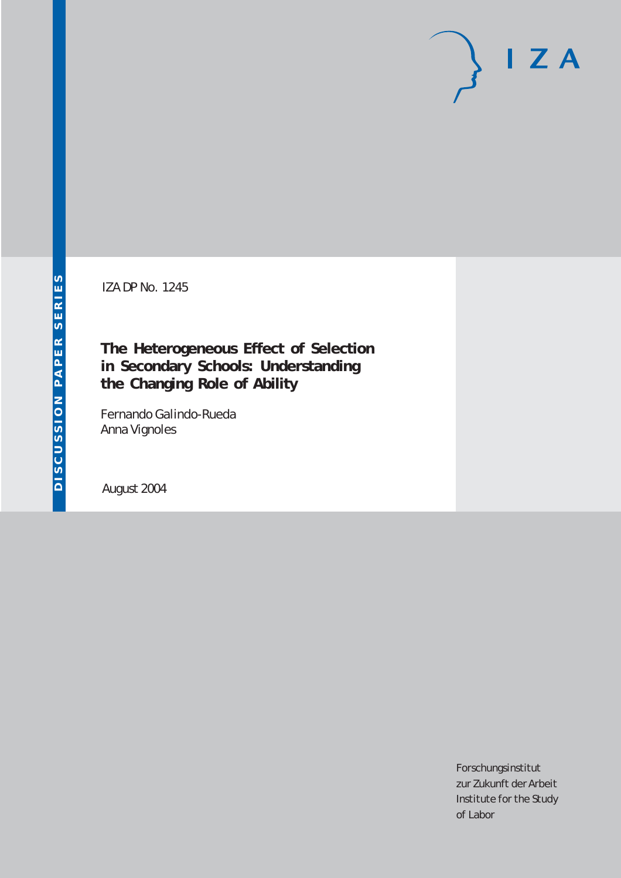# $I Z A$

IZA DP No. 1245

# **The Heterogeneous Effect of Selection in Secondary Schools: Understanding the Changing Role of Ability**

Fernando Galindo-Rueda Anna Vignoles

August 2004

Forschungsinstitut zur Zukunft der Arbeit Institute for the Study of Labor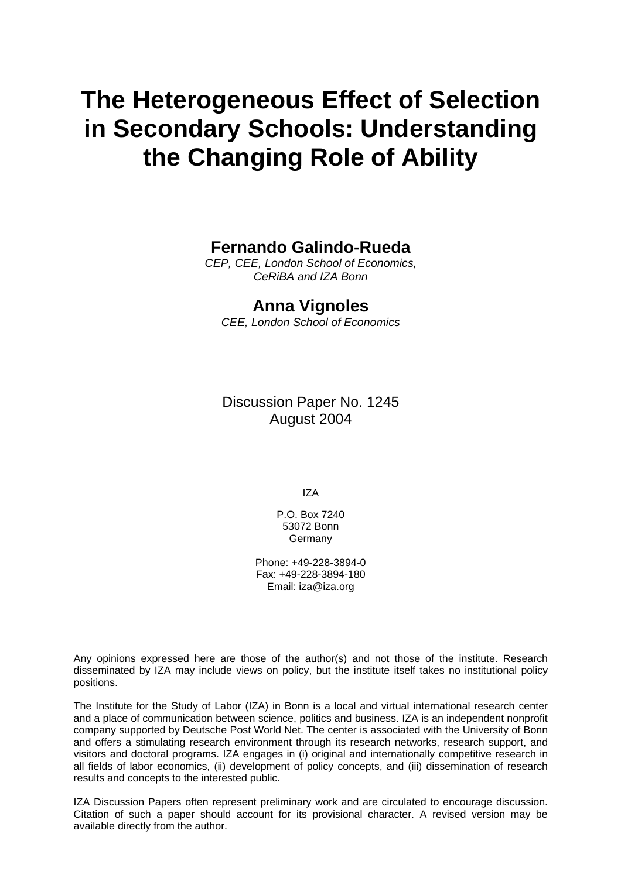# **The Heterogeneous Effect of Selection in Secondary Schools: Understanding the Changing Role of Ability**

# **Fernando Galindo-Rueda**

*CEP, CEE, London School of Economics, CeRiBA and IZA Bonn*

# **Anna Vignoles**

*CEE, London School of Economics*

Discussion Paper No. 1245 August 2004

IZA

P.O. Box 7240 53072 Bonn Germany

Phone: +49-228-3894-0 Fax: +49-228-3894-180 Email: [iza@iza.org](mailto:iza@iza.org)

Any opinions expressed here are those of the author(s) and not those of the institute. Research disseminated by IZA may include views on policy, but the institute itself takes no institutional policy positions.

The Institute for the Study of Labor (IZA) in Bonn is a local and virtual international research center and a place of communication between science, politics and business. IZA is an independent nonprofit company supported by Deutsche Post World Net. The center is associated with the University of Bonn and offers a stimulating research environment through its research networks, research support, and visitors and doctoral programs. IZA engages in (i) original and internationally competitive research in all fields of labor economics, (ii) development of policy concepts, and (iii) dissemination of research results and concepts to the interested public.

IZA Discussion Papers often represent preliminary work and are circulated to encourage discussion. Citation of such a paper should account for its provisional character. A revised version may be available directly from the author.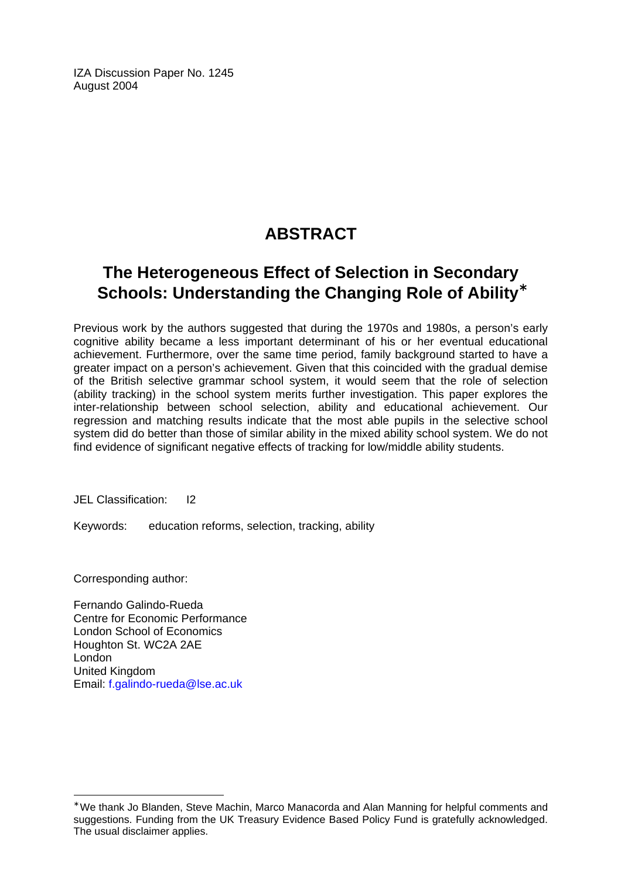IZA Discussion Paper No. 1245 August 2004

# **ABSTRACT**

# **The Heterogeneous Effect of Selection in Secondary Schools: Understanding the Changing Role of Ability**[∗](#page-2-0)

Previous work by the authors suggested that during the 1970s and 1980s, a person's early cognitive ability became a less important determinant of his or her eventual educational achievement. Furthermore, over the same time period, family background started to have a greater impact on a person's achievement. Given that this coincided with the gradual demise of the British selective grammar school system, it would seem that the role of selection (ability tracking) in the school system merits further investigation. This paper explores the inter-relationship between school selection, ability and educational achievement. Our regression and matching results indicate that the most able pupils in the selective school system did do better than those of similar ability in the mixed ability school system. We do not find evidence of significant negative effects of tracking for low/middle ability students.

JEL Classification: I2

Keywords: education reforms, selection, tracking, ability

Corresponding author:

 $\overline{a}$ 

Fernando Galindo-Rueda Centre for Economic Performance London School of Economics Houghton St. WC2A 2AE London United Kingdom Email: [f.galindo-rueda@lse.ac.uk](mailto:f.galindo-rueda@lse.ac.uk)

<span id="page-2-0"></span><sup>∗</sup> We thank Jo Blanden, Steve Machin, Marco Manacorda and Alan Manning for helpful comments and suggestions. Funding from the UK Treasury Evidence Based Policy Fund is gratefully acknowledged. The usual disclaimer applies.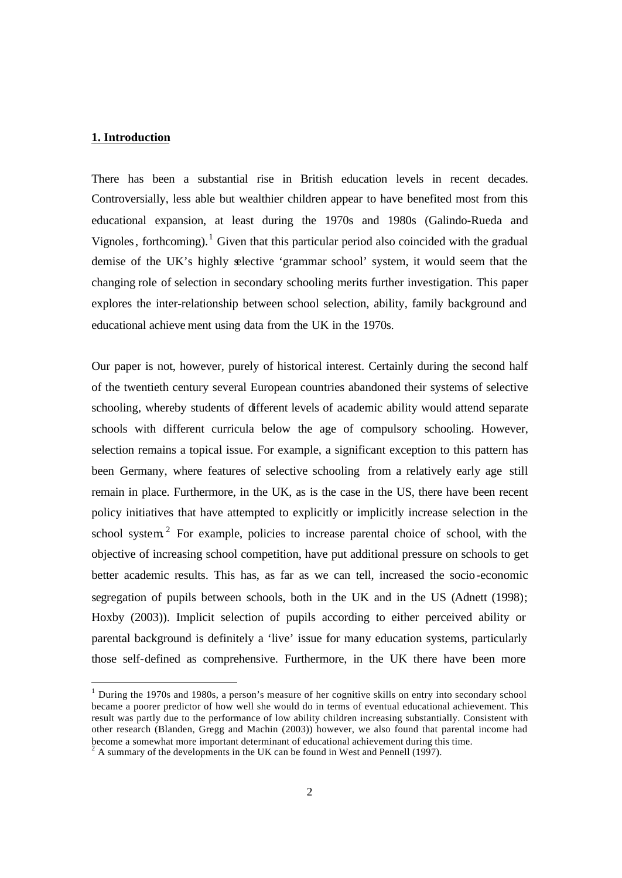### **1. Introduction**

 $\overline{a}$ 

There has been a substantial rise in British education levels in recent decades. Controversially, less able but wealthier children appear to have benefited most from this educational expansion, at least during the 1970s and 1980s (Galindo-Rueda and Vignoles, forthcoming).<sup>1</sup> Given that this particular period also coincided with the gradual demise of the UK's highly selective 'grammar school' system, it would seem that the changing role of selection in secondary schooling merits further investigation. This paper explores the inter-relationship between school selection, ability, family background and educational achieve ment using data from the UK in the 1970s.

Our paper is not, however, purely of historical interest. Certainly during the second half of the twentieth century several European countries abandoned their systems of selective schooling, whereby students of different levels of academic ability would attend separate schools with different curricula below the age of compulsory schooling. However, selection remains a topical issue. For example, a significant exception to this pattern has been Germany, where features of selective schooling from a relatively early age still remain in place. Furthermore, in the UK, as is the case in the US, there have been recent policy initiatives that have attempted to explicitly or implicitly increase selection in the school system<sup>2</sup> For example, policies to increase parental choice of school, with the objective of increasing school competition, have put additional pressure on schools to get better academic results. This has, as far as we can tell, increased the socio-economic segregation of pupils between schools, both in the UK and in the US (Adnett (1998); Hoxby (2003)). Implicit selection of pupils according to either perceived ability or parental background is definitely a 'live' issue for many education systems, particularly those self-defined as comprehensive. Furthermore, in the UK there have been more

<sup>&</sup>lt;sup>1</sup> During the 1970s and 1980s, a person's measure of her cognitive skills on entry into secondary school became a poorer predictor of how well she would do in terms of eventual educational achievement. This result was partly due to the performance of low ability children increasing substantially. Consistent with other research (Blanden, Gregg and Machin (2003)) however, we also found that parental income had become a somewhat more important determinant of educational achievement during this time.

<sup>2</sup> A summary of the developments in the UK can be found in West and Pennell (1997).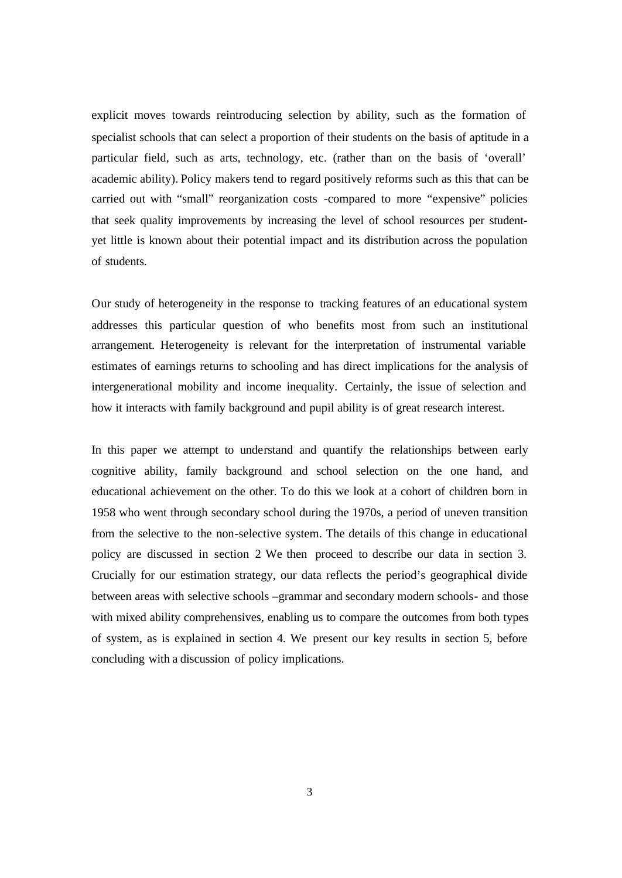explicit moves towards reintroducing selection by ability, such as the formation of specialist schools that can select a proportion of their students on the basis of aptitude in a particular field, such as arts, technology, etc. (rather than on the basis of 'overall' academic ability). Policy makers tend to regard positively reforms such as this that can be carried out with "small" reorganization costs -compared to more "expensive" policies that seek quality improvements by increasing the level of school resources per studentyet little is known about their potential impact and its distribution across the population of students.

Our study of heterogeneity in the response to tracking features of an educational system addresses this particular question of who benefits most from such an institutional arrangement. Heterogeneity is relevant for the interpretation of instrumental variable estimates of earnings returns to schooling and has direct implications for the analysis of intergenerational mobility and income inequality. Certainly, the issue of selection and how it interacts with family background and pupil ability is of great research interest.

In this paper we attempt to understand and quantify the relationships between early cognitive ability, family background and school selection on the one hand, and educational achievement on the other. To do this we look at a cohort of children born in 1958 who went through secondary school during the 1970s, a period of uneven transition from the selective to the non-selective system. The details of this change in educational policy are discussed in section 2. We then proceed to describe our data in section 3. Crucially for our estimation strategy, our data reflects the period's geographical divide between areas with selective schools –grammar and secondary modern schools- and those with mixed ability comprehensives, enabling us to compare the outcomes from both types of system, as is explained in section 4. We present our key results in section 5, before concluding with a discussion of policy implications.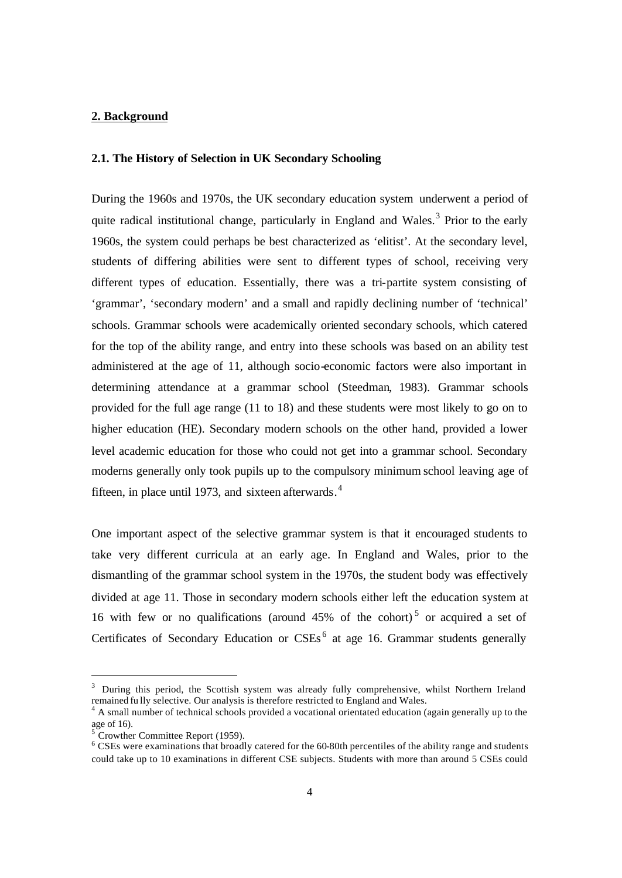### **2. Background**

### **2.1. The History of Selection in UK Secondary Schooling**

During the 1960s and 1970s, the UK secondary education system underwent a period of quite radical institutional change, particularly in England and Wales.<sup>3</sup> Prior to the early 1960s, the system could perhaps be best characterized as 'elitist'. At the secondary level, students of differing abilities were sent to different types of school, receiving very different types of education. Essentially, there was a tri-partite system consisting of 'grammar', 'secondary modern' and a small and rapidly declining number of 'technical' schools. Grammar schools were academically oriented secondary schools, which catered for the top of the ability range, and entry into these schools was based on an ability test administered at the age of 11, although socio-economic factors were also important in determining attendance at a grammar school (Steedman, 1983). Grammar schools provided for the full age range (11 to 18) and these students were most likely to go on to higher education (HE). Secondary modern schools on the other hand, provided a lower level academic education for those who could not get into a grammar school. Secondary moderns generally only took pupils up to the compulsory minimum school leaving age of fifteen, in place until 1973, and sixteen afterwards.<sup>4</sup>

One important aspect of the selective grammar system is that it encouraged students to take very different curricula at an early age. In England and Wales, prior to the dismantling of the grammar school system in the 1970s, the student body was effectively divided at age 11. Those in secondary modern schools either left the education system at 16 with few or no qualifications (around  $45\%$  of the cohort)<sup>5</sup> or acquired a set of Certificates of Secondary Education or CSEs<sup>6</sup> at age 16. Grammar students generally

 $\overline{a}$ 

<sup>&</sup>lt;sup>3</sup> During this period, the Scottish system was already fully comprehensive, whilst Northern Ireland remained fu lly selective. Our analysis is therefore restricted to England and Wales.

<sup>&</sup>lt;sup>4</sup> A small number of technical schools provided a vocational orientated education (again generally up to the age of 16).

 $5$  Crowther Committee Report (1959).

<sup>&</sup>lt;sup>6</sup> CSEs were examinations that broadly catered for the 60-80th percentiles of the ability range and students could take up to 10 examinations in different CSE subjects. Students with more than around 5 CSEs could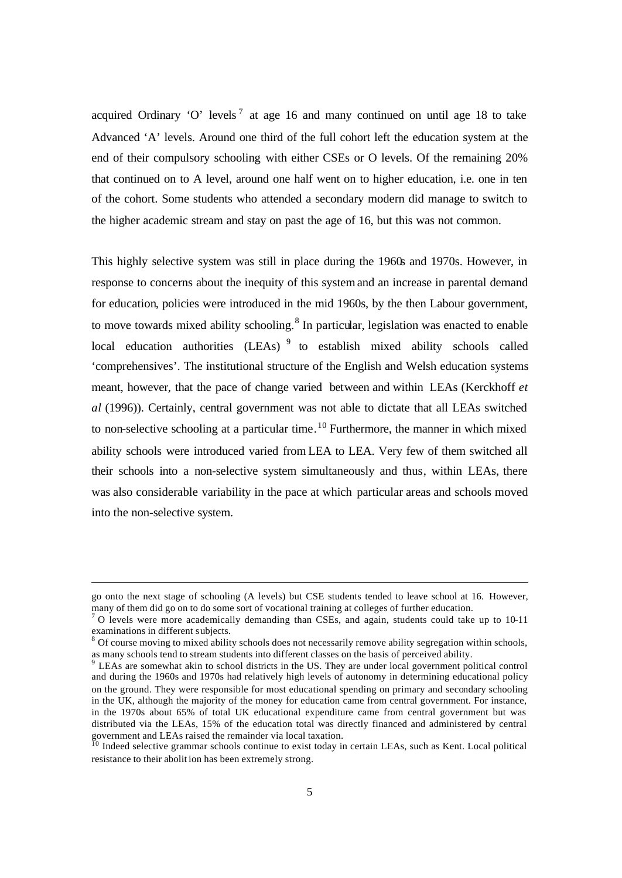acquired Ordinary 'O' levels<sup>7</sup> at age 16 and many continued on until age 18 to take Advanced 'A' levels. Around one third of the full cohort left the education system at the end of their compulsory schooling with either CSEs or O levels. Of the remaining 20% that continued on to A level, around one half went on to higher education, i.e. one in ten of the cohort. Some students who attended a secondary modern did manage to switch to the higher academic stream and stay on past the age of 16, but this was not common.

This highly selective system was still in place during the 1960s and 1970s. However, in response to concerns about the inequity of this system and an increase in parental demand for education, policies were introduced in the mid 1960s, by the then Labour government, to move towards mixed ability schooling.<sup>8</sup> In particular, legislation was enacted to enable local education authorities (LEAs)<sup>9</sup> to establish mixed ability schools called 'comprehensives'. The institutional structure of the English and Welsh education systems meant, however, that the pace of change varied between and within LEAs (Kerckhoff *et al* (1996)). Certainly, central government was not able to dictate that all LEAs switched to non-selective schooling at a particular time.<sup>10</sup> Furthermore, the manner in which mixed ability schools were introduced varied from LEA to LEA. Very few of them switched all their schools into a non-selective system simultaneously and thus, within LEAs, there was also considerable variability in the pace at which particular areas and schools moved into the non-selective system.

 $\overline{a}$ 

go onto the next stage of schooling (A levels) but CSE students tended to leave school at 16. However, many of them did go on to do some sort of vocational training at colleges of further education.

 $<sup>7</sup>$  O levels were more academically demanding than CSEs, and again, students could take up to 10-11</sup> examinations in different subjects.

<sup>&</sup>lt;sup>8</sup> Of course moving to mixed ability schools does not necessarily remove ability segregation within schools, as many schools tend to stream students into different classes on the basis of perceived ability.

<sup>&</sup>lt;sup>9</sup> LEAs are somewhat akin to school districts in the US. They are under local government political control and during the 1960s and 1970s had relatively high levels of autonomy in determining educational policy on the ground. They were responsible for most educational spending on primary and secondary schooling in the UK, although the majority of the money for education came from central government. For instance, in the 1970s about 65% of total UK educational expenditure came from central government but was distributed via the LEAs, 15% of the education total was directly financed and administered by central government and LEAs raised the remainder via local taxation.

<sup>&</sup>lt;sup>10</sup> Indeed selective grammar schools continue to exist today in certain LEAs, such as Kent. Local political resistance to their abolit ion has been extremely strong.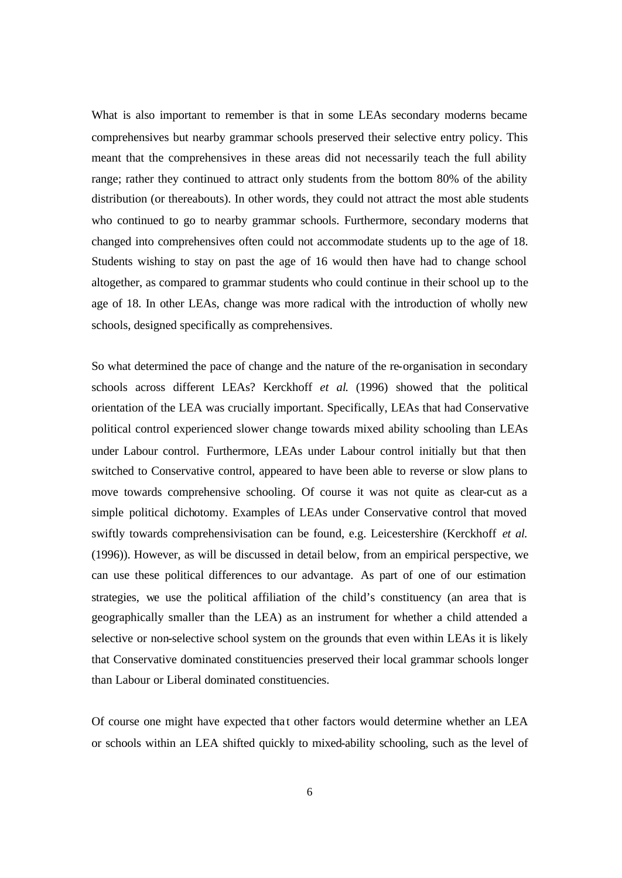What is also important to remember is that in some LEAs secondary moderns became comprehensives but nearby grammar schools preserved their selective entry policy. This meant that the comprehensives in these areas did not necessarily teach the full ability range; rather they continued to attract only students from the bottom 80% of the ability distribution (or thereabouts). In other words, they could not attract the most able students who continued to go to nearby grammar schools. Furthermore, secondary moderns that changed into comprehensives often could not accommodate students up to the age of 18. Students wishing to stay on past the age of 16 would then have had to change school altogether, as compared to grammar students who could continue in their school up to the age of 18. In other LEAs, change was more radical with the introduction of wholly new schools, designed specifically as comprehensives.

So what determined the pace of change and the nature of the re-organisation in secondary schools across different LEAs? Kerckhoff *et al.* (1996) showed that the political orientation of the LEA was crucially important. Specifically, LEAs that had Conservative political control experienced slower change towards mixed ability schooling than LEAs under Labour control. Furthermore, LEAs under Labour control initially but that then switched to Conservative control, appeared to have been able to reverse or slow plans to move towards comprehensive schooling. Of course it was not quite as clear-cut as a simple political dichotomy. Examples of LEAs under Conservative control that moved swiftly towards comprehensivisation can be found, e.g. Leicestershire (Kerckhoff *et al.* (1996)). However, as will be discussed in detail below, from an empirical perspective, we can use these political differences to our advantage. As part of one of our estimation strategies, we use the political affiliation of the child's constituency (an area that is geographically smaller than the LEA) as an instrument for whether a child attended a selective or non-selective school system on the grounds that even within LEAs it is likely that Conservative dominated constituencies preserved their local grammar schools longer than Labour or Liberal dominated constituencies.

Of course one might have expected that other factors would determine whether an LEA or schools within an LEA shifted quickly to mixed-ability schooling, such as the level of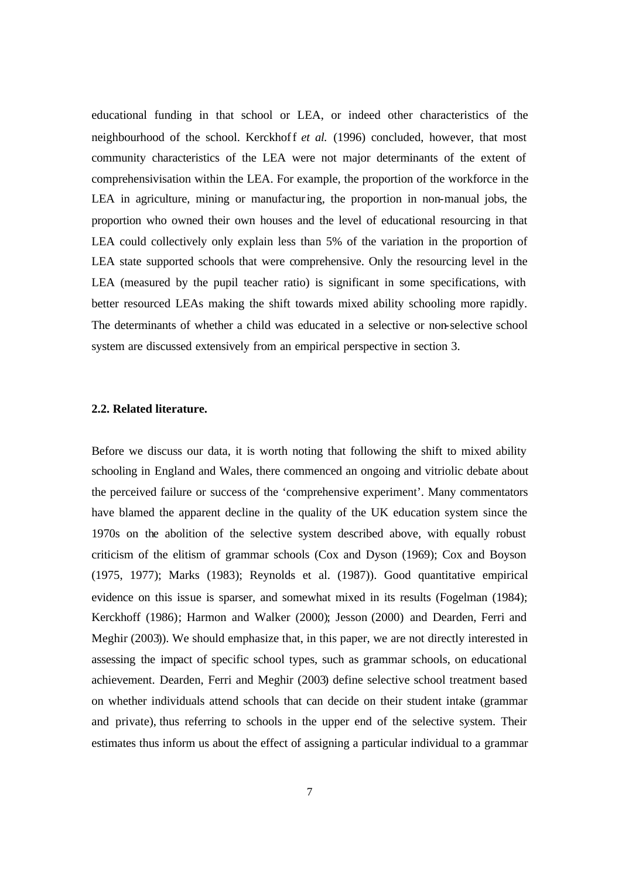educational funding in that school or LEA, or indeed other characteristics of the neighbourhood of the school. Kerckhoff *et al.* (1996) concluded, however, that most community characteristics of the LEA were not major determinants of the extent of comprehensivisation within the LEA. For example, the proportion of the workforce in the LEA in agriculture, mining or manufacturing, the proportion in non-manual jobs, the proportion who owned their own houses and the level of educational resourcing in that LEA could collectively only explain less than 5% of the variation in the proportion of LEA state supported schools that were comprehensive. Only the resourcing level in the LEA (measured by the pupil teacher ratio) is significant in some specifications, with better resourced LEAs making the shift towards mixed ability schooling more rapidly. The determinants of whether a child was educated in a selective or non-selective school system are discussed extensively from an empirical perspective in section 3.

### **2.2. Related literature.**

Before we discuss our data, it is worth noting that following the shift to mixed ability schooling in England and Wales, there commenced an ongoing and vitriolic debate about the perceived failure or success of the 'comprehensive experiment'. Many commentators have blamed the apparent decline in the quality of the UK education system since the 1970s on the abolition of the selective system described above, with equally robust criticism of the elitism of grammar schools (Cox and Dyson (1969); Cox and Boyson (1975, 1977); Marks (1983); Reynolds et al. (1987)). Good quantitative empirical evidence on this issue is sparser, and somewhat mixed in its results (Fogelman (1984); Kerckhoff (1986); Harmon and Walker (2000); Jesson (2000) and Dearden, Ferri and Meghir (2003)). We should emphasize that, in this paper, we are not directly interested in assessing the impact of specific school types, such as grammar schools, on educational achievement. Dearden, Ferri and Meghir (2003) define selective school treatment based on whether individuals attend schools that can decide on their student intake (grammar and private), thus referring to schools in the upper end of the selective system. Their estimates thus inform us about the effect of assigning a particular individual to a grammar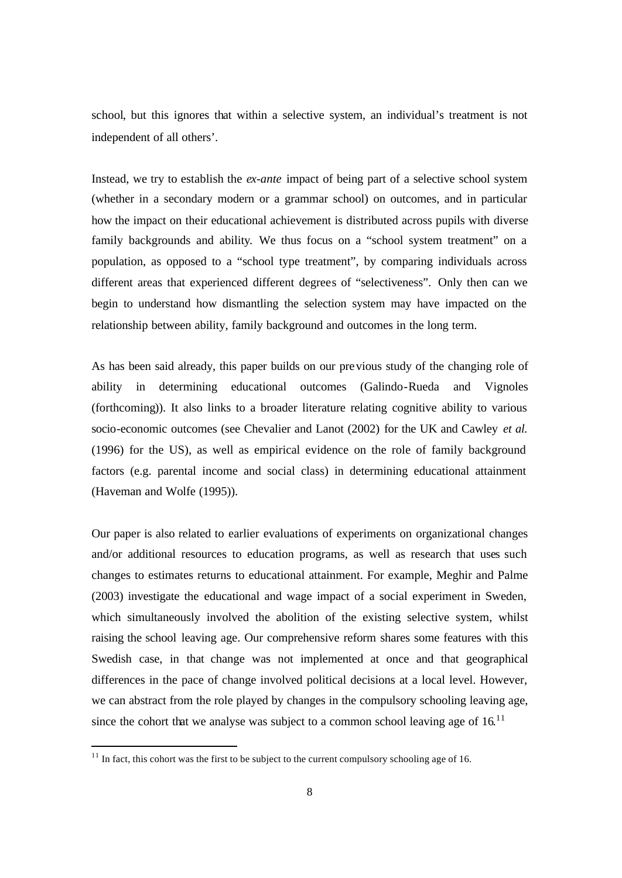school, but this ignores that within a selective system, an individual's treatment is not independent of all others'.

Instead, we try to establish the *ex-ante* impact of being part of a selective school system (whether in a secondary modern or a grammar school) on outcomes, and in particular how the impact on their educational achievement is distributed across pupils with diverse family backgrounds and ability. We thus focus on a "school system treatment" on a population, as opposed to a "school type treatment", by comparing individuals across different areas that experienced different degrees of "selectiveness". Only then can we begin to understand how dismantling the selection system may have impacted on the relationship between ability, family background and outcomes in the long term.

As has been said already, this paper builds on our previous study of the changing role of ability in determining educational outcomes (Galindo-Rueda and Vignoles (forthcoming)). It also links to a broader literature relating cognitive ability to various socio-economic outcomes (see Chevalier and Lanot (2002) for the UK and Cawley *et al.* (1996) for the US), as well as empirical evidence on the role of family background factors (e.g. parental income and social class) in determining educational attainment (Haveman and Wolfe (1995)).

Our paper is also related to earlier evaluations of experiments on organizational changes and/or additional resources to education programs, as well as research that uses such changes to estimates returns to educational attainment. For example, Meghir and Palme (2003) investigate the educational and wage impact of a social experiment in Sweden, which simultaneously involved the abolition of the existing selective system, whilst raising the school leaving age. Our comprehensive reform shares some features with this Swedish case, in that change was not implemented at once and that geographical differences in the pace of change involved political decisions at a local level. However, we can abstract from the role played by changes in the compulsory schooling leaving age, since the cohort that we analyse was subject to a common school leaving age of  $16$ .<sup>11</sup>

l

 $11$  In fact, this cohort was the first to be subject to the current compulsory schooling age of 16.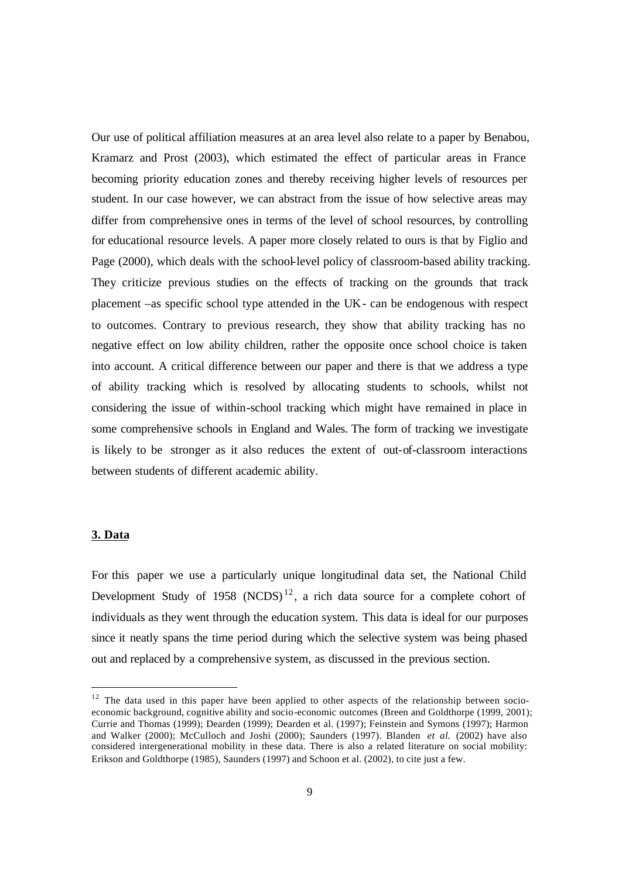Our use of political affiliation measures at an area level also relate to a paper by Benabou, Kramarz and Prost (2003), which estimated the effect of particular areas in France becoming priority education zones and thereby receiving higher levels of resources per student. In our case however, we can abstract from the issue of how selective areas may differ from comprehensive ones in terms of the level of school resources, by controlling for educational resource levels. A paper more closely related to ours is that by Figlio and Page (2000), which deals with the school-level policy of classroom-based ability tracking. They criticize previous studies on the effects of tracking on the grounds that track placement –as specific school type attended in the UK- can be endogenous with respect to outcomes. Contrary to previous research, they show that ability tracking has no negative effect on low ability children, rather the opposite once school choice is taken into account. A critical difference between our paper and there is that we address a type of ability tracking which is resolved by allocating students to schools, whilst not considering the issue of within-school tracking which might have remained in place in some comprehensive schools in England and Wales. The form of tracking we investigate is likely to be stronger as it also reduces the extent of out-of-classroom interactions between students of different academic ability.

### **3. Data**

 $\overline{a}$ 

For this paper we use a particularly unique longitudinal data set, the National Child Development Study of 1958 (NCDS)<sup>12</sup>, a rich data source for a complete cohort of individuals as they went through the education system. This data is ideal for our purposes since it neatly spans the time period during which the selective system was being phased out and replaced by a comprehensive system, as discussed in the previous section.

 $12$  The data used in this paper have been applied to other aspects of the relationship between socioeconomic background, cognitive ability and socio-economic outcomes (Breen and Goldthorpe (1999, 2001); Currie and Thomas (1999); Dearden (1999); Dearden et al. (1997); Feinstein and Symons (1997); Harmon and Walker (2000); McCulloch and Joshi (2000); Saunders (1997). Blanden *et al*. (2002) have also considered intergenerational mobility in these data. There is also a related literature on social mobility: Erikson and Goldthorpe (1985), Saunders (1997) and Schoon et al. (2002), to cite just a few.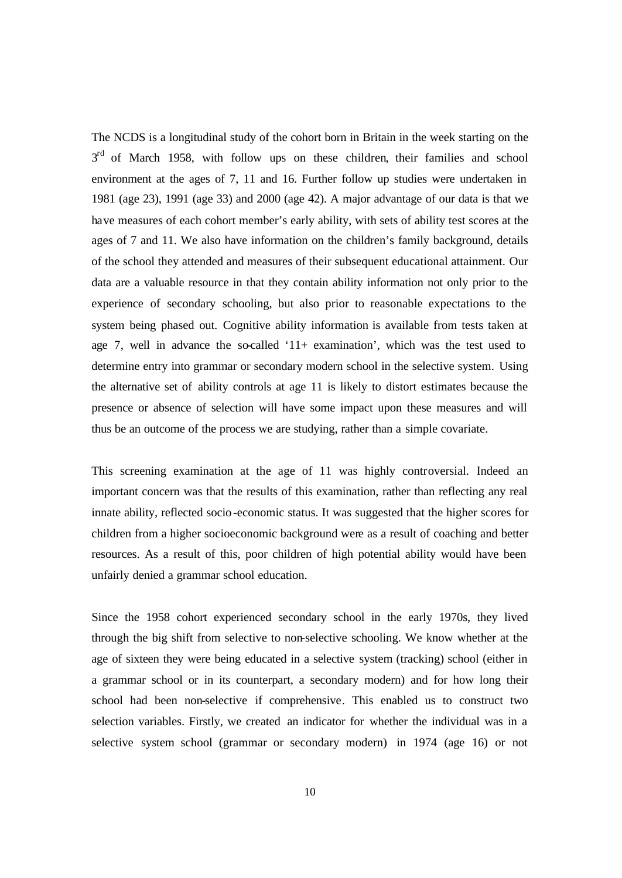The NCDS is a longitudinal study of the cohort born in Britain in the week starting on the 3<sup>rd</sup> of March 1958, with follow ups on these children, their families and school environment at the ages of 7, 11 and 16. Further follow up studies were undertaken in 1981 (age 23), 1991 (age 33) and 2000 (age 42). A major advantage of our data is that we have measures of each cohort member's early ability, with sets of ability test scores at the ages of 7 and 11. We also have information on the children's family background, details of the school they attended and measures of their subsequent educational attainment. Our data are a valuable resource in that they contain ability information not only prior to the experience of secondary schooling, but also prior to reasonable expectations to the system being phased out. Cognitive ability information is available from tests taken at age 7, well in advance the so-called '11+ examination', which was the test used to determine entry into grammar or secondary modern school in the selective system. Using the alternative set of ability controls at age 11 is likely to distort estimates because the presence or absence of selection will have some impact upon these measures and will thus be an outcome of the process we are studying, rather than a simple covariate.

This screening examination at the age of 11 was highly controversial. Indeed an important concern was that the results of this examination, rather than reflecting any real innate ability, reflected socio-economic status. It was suggested that the higher scores for children from a higher socioeconomic background were as a result of coaching and better resources. As a result of this, poor children of high potential ability would have been unfairly denied a grammar school education.

Since the 1958 cohort experienced secondary school in the early 1970s, they lived through the big shift from selective to non-selective schooling. We know whether at the age of sixteen they were being educated in a selective system (tracking) school (either in a grammar school or in its counterpart, a secondary modern) and for how long their school had been non-selective if comprehensive. This enabled us to construct two selection variables. Firstly, we created an indicator for whether the individual was in a selective system school (grammar or secondary modern) in 1974 (age 16) or not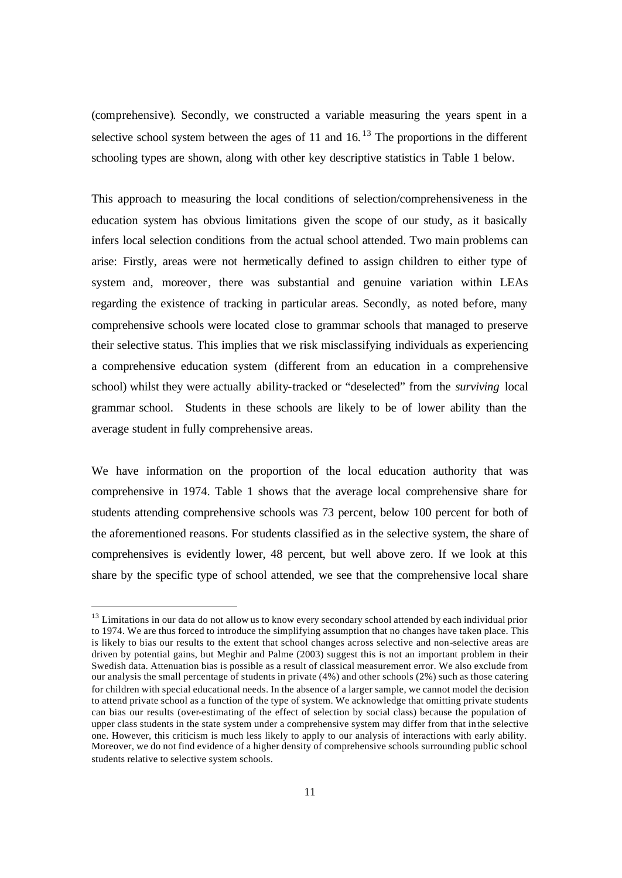(comprehensive). Secondly, we constructed a variable measuring the years spent in a selective school system between the ages of 11 and  $16$ .<sup>13</sup> The proportions in the different schooling types are shown, along with other key descriptive statistics in Table 1 below.

This approach to measuring the local conditions of selection/comprehensiveness in the education system has obvious limitations given the scope of our study, as it basically infers local selection conditions from the actual school attended. Two main problems can arise: Firstly, areas were not hermetically defined to assign children to either type of system and, moreover, there was substantial and genuine variation within LEAs regarding the existence of tracking in particular areas. Secondly, as noted before, many comprehensive schools were located close to grammar schools that managed to preserve their selective status. This implies that we risk misclassifying individuals as experiencing a comprehensive education system (different from an education in a comprehensive school) whilst they were actually ability-tracked or "deselected" from the *surviving* local grammar school. Students in these schools are likely to be of lower ability than the average student in fully comprehensive areas.

We have information on the proportion of the local education authority that was comprehensive in 1974. Table 1 shows that the average local comprehensive share for students attending comprehensive schools was 73 percent, below 100 percent for both of the aforementioned reasons. For students classified as in the selective system, the share of comprehensives is evidently lower, 48 percent, but well above zero. If we look at this share by the specific type of school attended, we see that the comprehensive local share

 $\overline{a}$ 

<sup>&</sup>lt;sup>13</sup> Limitations in our data do not allow us to know every secondary school attended by each individual prior to 1974. We are thus forced to introduce the simplifying assumption that no changes have taken place. This is likely to bias our results to the extent that school changes across selective and non-selective areas are driven by potential gains, but Meghir and Palme (2003) suggest this is not an important problem in their Swedish data. Attenuation bias is possible as a result of classical measurement error. We also exclude from our analysis the small percentage of students in private (4%) and other schools (2%) such as those catering for children with special educational needs. In the absence of a larger sample, we cannot model the decision to attend private school as a function of the type of system. We acknowledge that omitting private students can bias our results (over-estimating of the effect of selection by social class) because the population of upper class students in the state system under a comprehensive system may differ from that in the selective one. However, this criticism is much less likely to apply to our analysis of interactions with early ability. Moreover, we do not find evidence of a higher density of comprehensive schools surrounding public school students relative to selective system schools.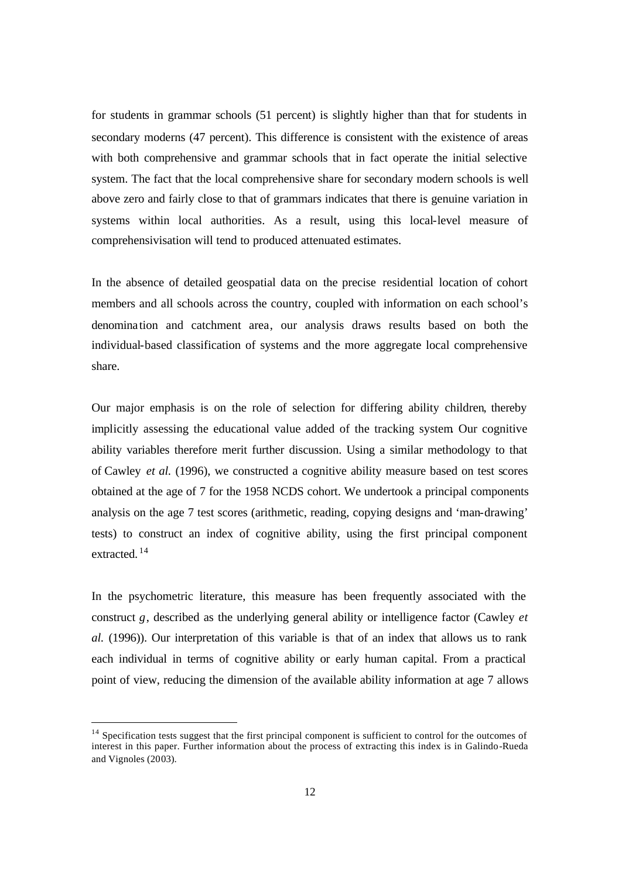for students in grammar schools (51 percent) is slightly higher than that for students in secondary moderns (47 percent). This difference is consistent with the existence of areas with both comprehensive and grammar schools that in fact operate the initial selective system. The fact that the local comprehensive share for secondary modern schools is well above zero and fairly close to that of grammars indicates that there is genuine variation in systems within local authorities. As a result, using this local-level measure of comprehensivisation will tend to produced attenuated estimates.

In the absence of detailed geospatial data on the precise residential location of cohort members and all schools across the country, coupled with information on each school's denomina tion and catchment area, our analysis draws results based on both the individual-based classification of systems and the more aggregate local comprehensive share.

Our major emphasis is on the role of selection for differing ability children, thereby implicitly assessing the educational value added of the tracking system. Our cognitive ability variables therefore merit further discussion. Using a similar methodology to that of Cawley *et al.* (1996), we constructed a cognitive ability measure based on test scores obtained at the age of 7 for the 1958 NCDS cohort. We undertook a principal components analysis on the age 7 test scores (arithmetic, reading, copying designs and 'man-drawing' tests) to construct an index of cognitive ability, using the first principal component extracted. <sup>14</sup>

In the psychometric literature, this measure has been frequently associated with the construct *g*, described as the underlying general ability or intelligence factor (Cawley *et al.* (1996)). Our interpretation of this variable is that of an index that allows us to rank each individual in terms of cognitive ability or early human capital. From a practical point of view, reducing the dimension of the available ability information at age 7 allows

l

<sup>&</sup>lt;sup>14</sup> Specification tests suggest that the first principal component is sufficient to control for the outcomes of interest in this paper. Further information about the process of extracting this index is in Galindo-Rueda and Vignoles (2003).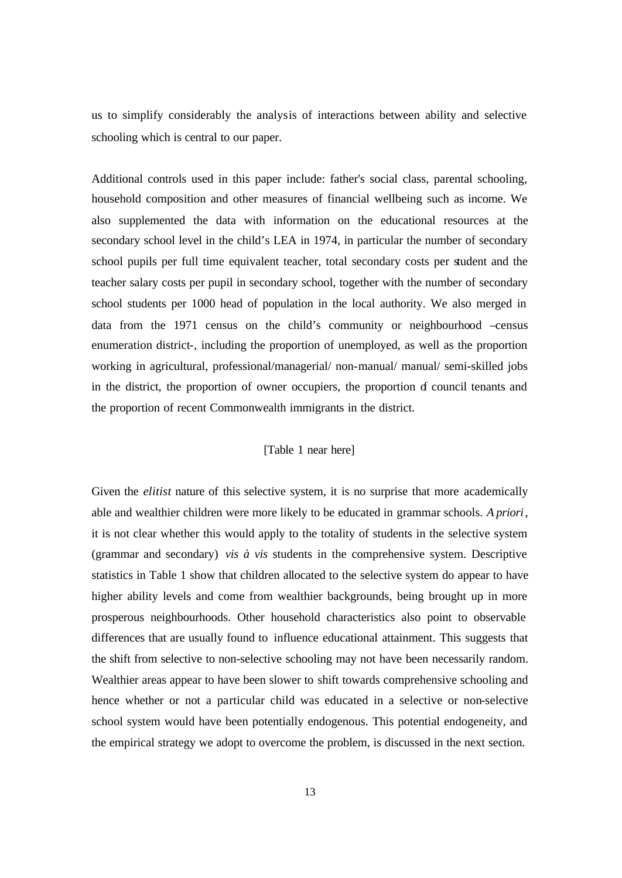us to simplify considerably the analysis of interactions between ability and selective schooling which is central to our paper.

Additional controls used in this paper include: father's social class, parental schooling, household composition and other measures of financial wellbeing such as income. We also supplemented the data with information on the educational resources at the secondary school level in the child's LEA in 1974, in particular the number of secondary school pupils per full time equivalent teacher, total secondary costs per student and the teacher salary costs per pupil in secondary school, together with the number of secondary school students per 1000 head of population in the local authority. We also merged in data from the 1971 census on the child's community or neighbourhood –census enumeration district-, including the proportion of unemployed, as well as the proportion working in agricultural, professional/managerial/ non-manual/ manual/ semi-skilled jobs in the district, the proportion of owner occupiers, the proportion of council tenants and the proportion of recent Commonwealth immigrants in the district.

### [Table 1 near here]

Given the *elitist* nature of this selective system, it is no surprise that more academically able and wealthier children were more likely to be educated in grammar schools. *A priori*, it is not clear whether this would apply to the totality of students in the selective system (grammar and secondary) *vis à vis* students in the comprehensive system. Descriptive statistics in Table 1 show that children allocated to the selective system do appear to have higher ability levels and come from wealthier backgrounds, being brought up in more prosperous neighbourhoods. Other household characteristics also point to observable differences that are usually found to influence educational attainment. This suggests that the shift from selective to non-selective schooling may not have been necessarily random. Wealthier areas appear to have been slower to shift towards comprehensive schooling and hence whether or not a particular child was educated in a selective or non-selective school system would have been potentially endogenous. This potential endogeneity, and the empirical strategy we adopt to overcome the problem, is discussed in the next section.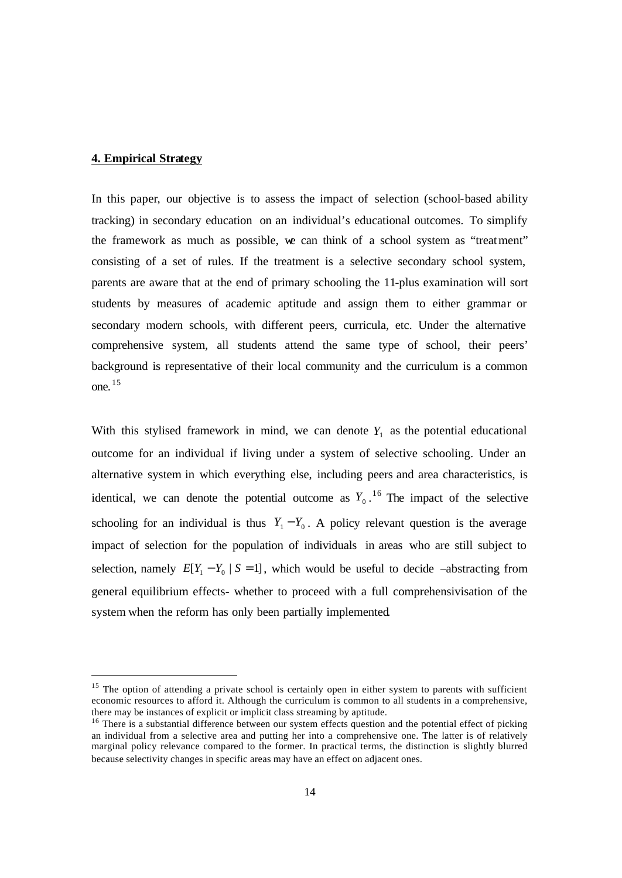### **4. Empirical Strategy**

 $\overline{a}$ 

In this paper, our objective is to assess the impact of selection (school-based ability tracking) in secondary education on an individual's educational outcomes. To simplify the framework as much as possible, we can think of a school system as "treatment" consisting of a set of rules. If the treatment is a selective secondary school system, parents are aware that at the end of primary schooling the 11-plus examination will sort students by measures of academic aptitude and assign them to either grammar or secondary modern schools, with different peers, curricula, etc. Under the alternative comprehensive system, all students attend the same type of school, their peers' background is representative of their local community and the curriculum is a common one. <sup>15</sup>

With this stylised framework in mind, we can denote  $Y_1$  as the potential educational outcome for an individual if living under a system of selective schooling. Under an alternative system in which everything else, including peers and area characteristics, is identical, we can denote the potential outcome as  $Y_0$ .<sup>16</sup> The impact of the selective schooling for an individual is thus  $Y_1 - Y_0$ . A policy relevant question is the average impact of selection for the population of individuals in areas who are still subject to selection, namely  $E[Y_1 - Y_0 | S = 1]$ , which would be useful to decide –abstracting from general equilibrium effects- whether to proceed with a full comprehensivisation of the system when the reform has only been partially implemented.

<sup>&</sup>lt;sup>15</sup> The option of attending a private school is certainly open in either system to parents with sufficient economic resources to afford it. Although the curriculum is common to all students in a comprehensive, there may be instances of explicit or implicit class streaming by aptitude.

<sup>&</sup>lt;sup>16</sup> There is a substantial difference between our system effects question and the potential effect of picking an individual from a selective area and putting her into a comprehensive one. The latter is of relatively marginal policy relevance compared to the former. In practical terms, the distinction is slightly blurred because selectivity changes in specific areas may have an effect on adjacent ones.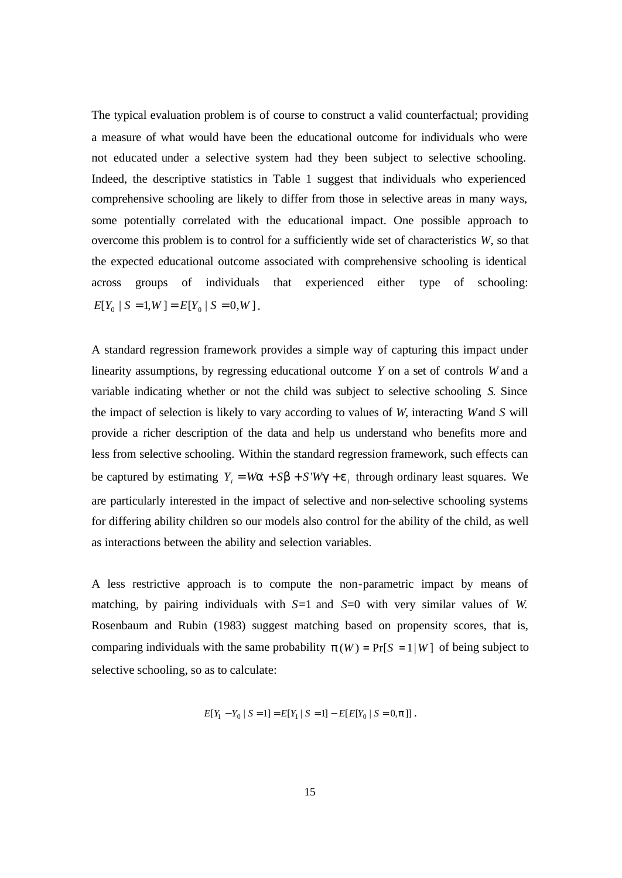The typical evaluation problem is of course to construct a valid counterfactual; providing a measure of what would have been the educational outcome for individuals who were not educated under a selective system had they been subject to selective schooling. Indeed, the descriptive statistics in Table 1 suggest that individuals who experienced comprehensive schooling are likely to differ from those in selective areas in many ways, some potentially correlated with the educational impact. One possible approach to overcome this problem is to control for a sufficiently wide set of characteristics *W*, so that the expected educational outcome associated with comprehensive schooling is identical across groups of individuals that experienced either type of schooling:  $E[Y_0 | S = 1, W] = E[Y_0 | S = 0, W].$ 

A standard regression framework provides a simple way of capturing this impact under linearity assumptions, by regressing educational outcome *Y* on a set of controls *W* and a variable indicating whether or not the child was subject to selective schooling *S*. Since the impact of selection is likely to vary according to values of *W*, interacting *W* and *S* will provide a richer description of the data and help us understand who benefits more and less from selective schooling. Within the standard regression framework, such effects can be captured by estimating  $Y_i = Wa + Sb + S'Wg + e_i$  through ordinary least squares. We are particularly interested in the impact of selective and non-selective schooling systems for differing ability children so our models also control for the ability of the child, as well as interactions between the ability and selection variables.

A less restrictive approach is to compute the non-parametric impact by means of matching, by pairing individuals with *S*=1 and *S*=0 with very similar values of *W*. Rosenbaum and Rubin (1983) suggest matching based on propensity scores, that is, comparing individuals with the same probability  $p(W) = Pr[S = 1|W]$  of being subject to selective schooling, so as to calculate:

$$
E[Y_1 - Y_0 | S = 1] = E[Y_1 | S = 1] - E[E[Y_0 | S = 0, p]]
$$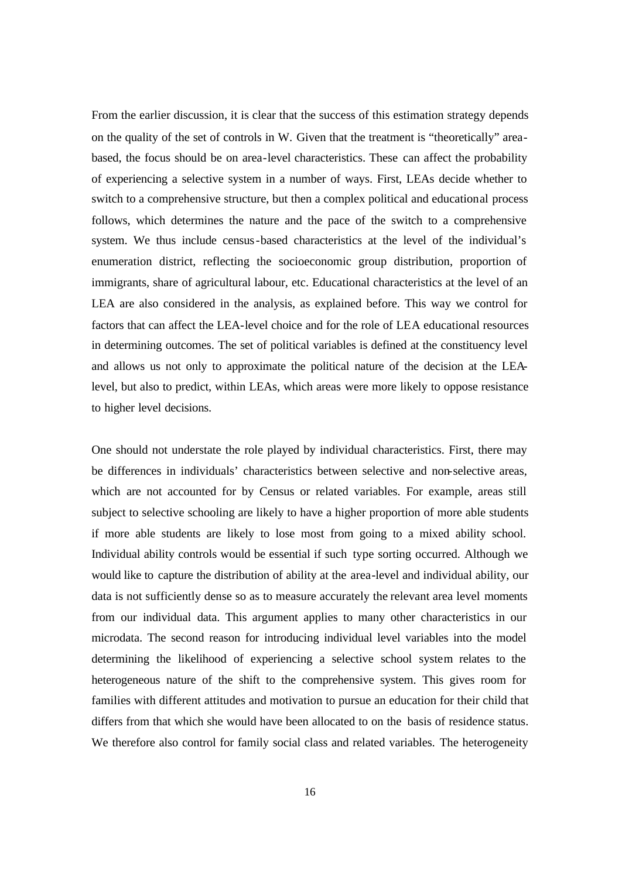From the earlier discussion, it is clear that the success of this estimation strategy depends on the quality of the set of controls in W. Given that the treatment is "theoretically" areabased, the focus should be on area-level characteristics. These can affect the probability of experiencing a selective system in a number of ways. First, LEAs decide whether to switch to a comprehensive structure, but then a complex political and educational process follows, which determines the nature and the pace of the switch to a comprehensive system. We thus include census-based characteristics at the level of the individual's enumeration district, reflecting the socioeconomic group distribution, proportion of immigrants, share of agricultural labour, etc. Educational characteristics at the level of an LEA are also considered in the analysis, as explained before. This way we control for factors that can affect the LEA-level choice and for the role of LEA educational resources in determining outcomes. The set of political variables is defined at the constituency level and allows us not only to approximate the political nature of the decision at the LEAlevel, but also to predict, within LEAs, which areas were more likely to oppose resistance to higher level decisions.

One should not understate the role played by individual characteristics. First, there may be differences in individuals' characteristics between selective and non-selective areas, which are not accounted for by Census or related variables. For example, areas still subject to selective schooling are likely to have a higher proportion of more able students if more able students are likely to lose most from going to a mixed ability school. Individual ability controls would be essential if such type sorting occurred. Although we would like to capture the distribution of ability at the area-level and individual ability, our data is not sufficiently dense so as to measure accurately the relevant area level moments from our individual data. This argument applies to many other characteristics in our microdata. The second reason for introducing individual level variables into the model determining the likelihood of experiencing a selective school system relates to the heterogeneous nature of the shift to the comprehensive system. This gives room for families with different attitudes and motivation to pursue an education for their child that differs from that which she would have been allocated to on the basis of residence status. We therefore also control for family social class and related variables. The heterogeneity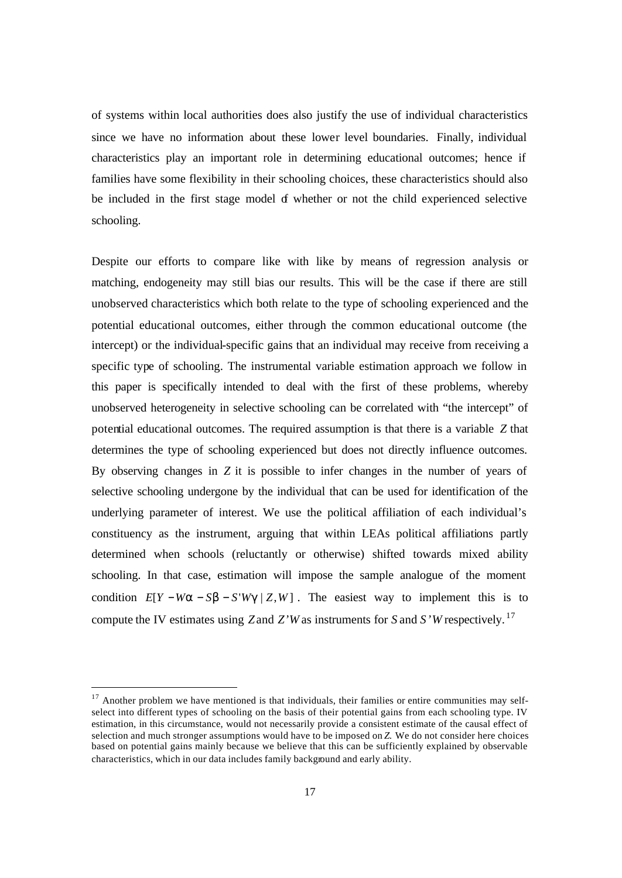of systems within local authorities does also justify the use of individual characteristics since we have no information about these lower level boundaries. Finally, individual characteristics play an important role in determining educational outcomes; hence if families have some flexibility in their schooling choices, these characteristics should also be included in the first stage model of whether or not the child experienced selective schooling.

Despite our efforts to compare like with like by means of regression analysis or matching, endogeneity may still bias our results. This will be the case if there are still unobserved characteristics which both relate to the type of schooling experienced and the potential educational outcomes, either through the common educational outcome (the intercept) or the individual-specific gains that an individual may receive from receiving a specific type of schooling. The instrumental variable estimation approach we follow in this paper is specifically intended to deal with the first of these problems, whereby unobserved heterogeneity in selective schooling can be correlated with "the intercept" of potential educational outcomes. The required assumption is that there is a variable *Z* that determines the type of schooling experienced but does not directly influence outcomes. By observing changes in *Z* it is possible to infer changes in the number of years of selective schooling undergone by the individual that can be used for identification of the underlying parameter of interest. We use the political affiliation of each individual's constituency as the instrument, arguing that within LEAs political affiliations partly determined when schools (reluctantly or otherwise) shifted towards mixed ability schooling. In that case, estimation will impose the sample analogue of the moment condition  $E[Y - Wa - Sb - S'Wg | Z, W]$ . The easiest way to implement this is to compute the IV estimates using *Z* and *Z'W* as instruments for *S* and *S'W* respectively. <sup>17</sup>

 $\overline{a}$ 

 $17$  Another problem we have mentioned is that individuals, their families or entire communities may selfselect into different types of schooling on the basis of their potential gains from each schooling type. IV estimation, in this circumstance, would not necessarily provide a consistent estimate of the causal effect of selection and much stronger assumptions would have to be imposed on *Z.* We do not consider here choices based on potential gains mainly because we believe that this can be sufficiently explained by observable characteristics, which in our data includes family background and early ability.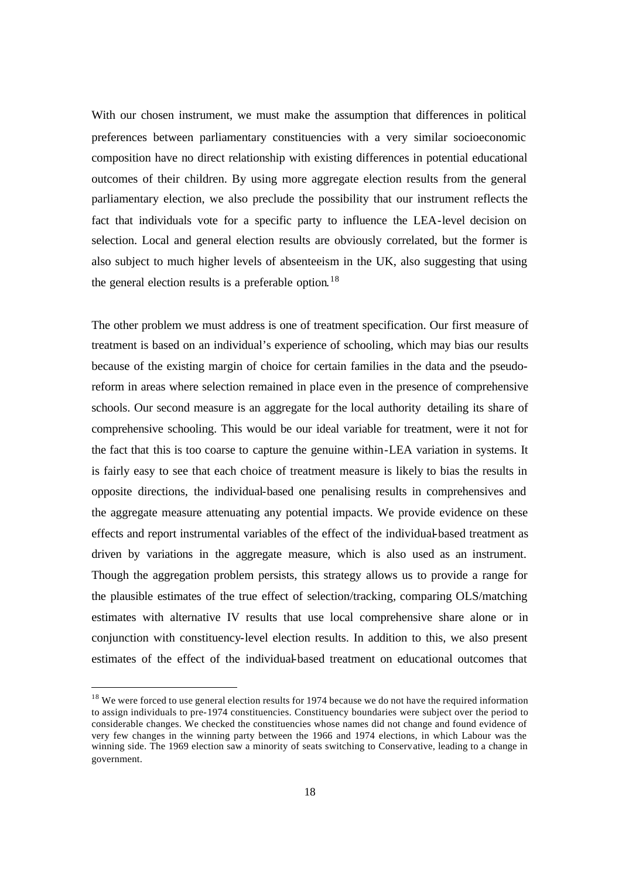With our chosen instrument, we must make the assumption that differences in political preferences between parliamentary constituencies with a very similar socioeconomic composition have no direct relationship with existing differences in potential educational outcomes of their children. By using more aggregate election results from the general parliamentary election, we also preclude the possibility that our instrument reflects the fact that individuals vote for a specific party to influence the LEA-level decision on selection. Local and general election results are obviously correlated, but the former is also subject to much higher levels of absenteeism in the UK, also suggesting that using the general election results is a preferable option.<sup>18</sup>

The other problem we must address is one of treatment specification. Our first measure of treatment is based on an individual's experience of schooling, which may bias our results because of the existing margin of choice for certain families in the data and the pseudoreform in areas where selection remained in place even in the presence of comprehensive schools. Our second measure is an aggregate for the local authority detailing its share of comprehensive schooling. This would be our ideal variable for treatment, were it not for the fact that this is too coarse to capture the genuine within-LEA variation in systems. It is fairly easy to see that each choice of treatment measure is likely to bias the results in opposite directions, the individual-based one penalising results in comprehensives and the aggregate measure attenuating any potential impacts. We provide evidence on these effects and report instrumental variables of the effect of the individual-based treatment as driven by variations in the aggregate measure, which is also used as an instrument. Though the aggregation problem persists, this strategy allows us to provide a range for the plausible estimates of the true effect of selection/tracking, comparing OLS/matching estimates with alternative IV results that use local comprehensive share alone or in conjunction with constituency-level election results. In addition to this, we also present estimates of the effect of the individual-based treatment on educational outcomes that

 $\overline{a}$ 

<sup>&</sup>lt;sup>18</sup> We were forced to use general election results for 1974 because we do not have the required information to assign individuals to pre-1974 constituencies. Constituency boundaries were subject over the period to considerable changes. We checked the constituencies whose names did not change and found evidence of very few changes in the winning party between the 1966 and 1974 elections, in which Labour was the winning side. The 1969 election saw a minority of seats switching to Conservative, leading to a change in government.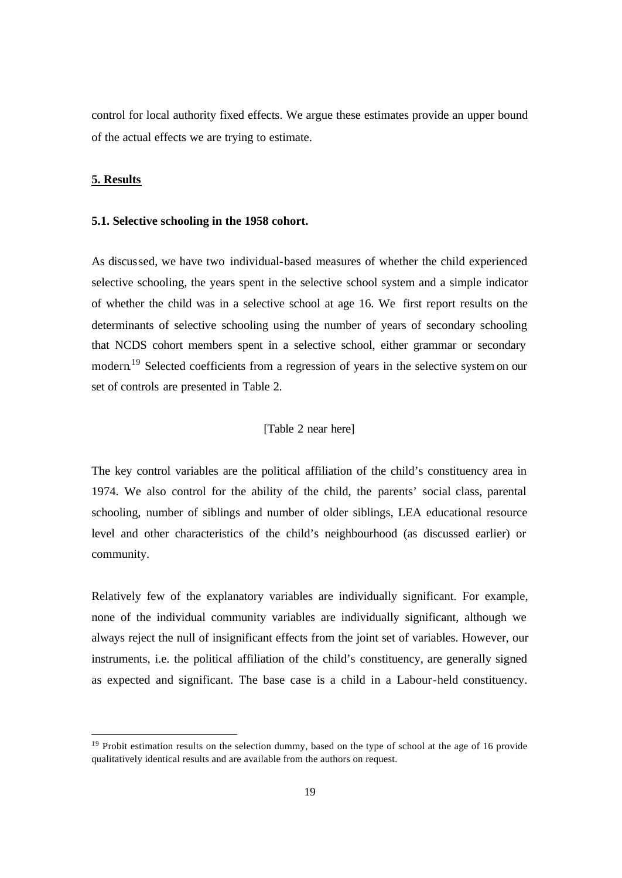control for local authority fixed effects. We argue these estimates provide an upper bound of the actual effects we are trying to estimate.

### **5. Results**

 $\overline{a}$ 

### **5.1. Selective schooling in the 1958 cohort.**

As discussed, we have two individual-based measures of whether the child experienced selective schooling, the years spent in the selective school system and a simple indicator of whether the child was in a selective school at age 16. We first report results on the determinants of selective schooling using the number of years of secondary schooling that NCDS cohort members spent in a selective school, either grammar or secondary modern.<sup>19</sup> Selected coefficients from a regression of years in the selective system on our set of controls are presented in Table 2.

### [Table 2 near here]

The key control variables are the political affiliation of the child's constituency area in 1974. We also control for the ability of the child, the parents' social class, parental schooling, number of siblings and number of older siblings, LEA educational resource level and other characteristics of the child's neighbourhood (as discussed earlier) or community.

Relatively few of the explanatory variables are individually significant. For example, none of the individual community variables are individually significant, although we always reject the null of insignificant effects from the joint set of variables. However, our instruments, i.e. the political affiliation of the child's constituency, are generally signed as expected and significant. The base case is a child in a Labour-held constituency.

<sup>&</sup>lt;sup>19</sup> Probit estimation results on the selection dummy, based on the type of school at the age of 16 provide qualitatively identical results and are available from the authors on request.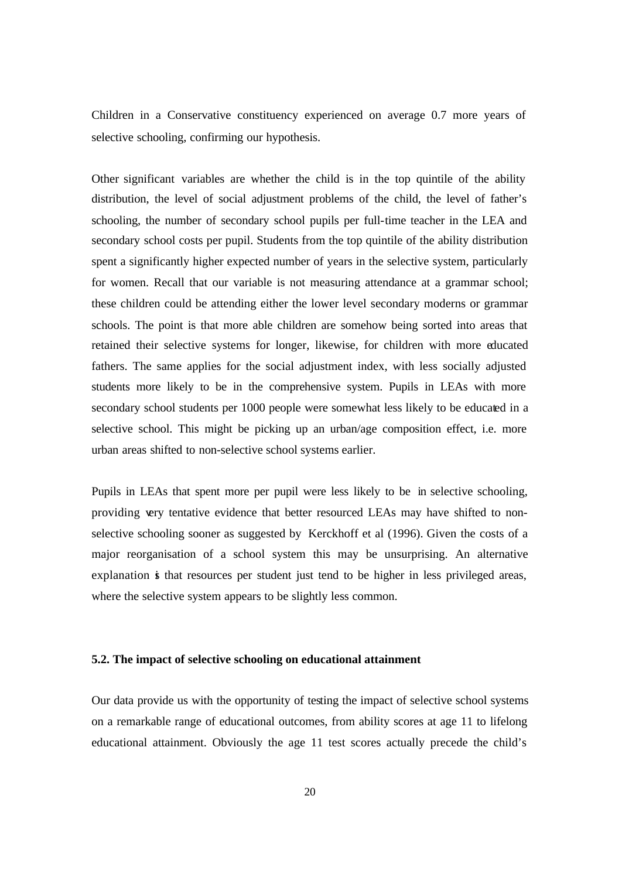Children in a Conservative constituency experienced on average 0.7 more years of selective schooling, confirming our hypothesis.

Other significant variables are whether the child is in the top quintile of the ability distribution, the level of social adjustment problems of the child, the level of father's schooling, the number of secondary school pupils per full-time teacher in the LEA and secondary school costs per pupil. Students from the top quintile of the ability distribution spent a significantly higher expected number of years in the selective system, particularly for women. Recall that our variable is not measuring attendance at a grammar school; these children could be attending either the lower level secondary moderns or grammar schools. The point is that more able children are somehow being sorted into areas that retained their selective systems for longer, likewise, for children with more educated fathers. The same applies for the social adjustment index, with less socially adjusted students more likely to be in the comprehensive system. Pupils in LEAs with more secondary school students per 1000 people were somewhat less likely to be educated in a selective school. This might be picking up an urban/age composition effect, i.e. more urban areas shifted to non-selective school systems earlier.

Pupils in LEAs that spent more per pupil were less likely to be in selective schooling, providing very tentative evidence that better resourced LEAs may have shifted to nonselective schooling sooner as suggested by Kerckhoff et al (1996). Given the costs of a major reorganisation of a school system this may be unsurprising. An alternative explanation is that resources per student just tend to be higher in less privileged areas, where the selective system appears to be slightly less common.

### **5.2. The impact of selective schooling on educational attainment**

Our data provide us with the opportunity of testing the impact of selective school systems on a remarkable range of educational outcomes, from ability scores at age 11 to lifelong educational attainment. Obviously the age 11 test scores actually precede the child's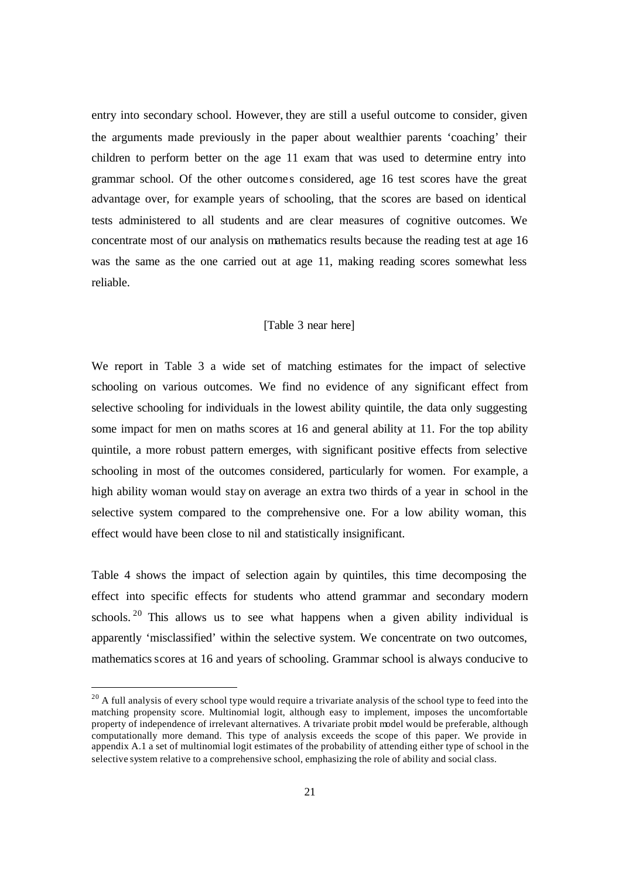entry into secondary school. However, they are still a useful outcome to consider, given the arguments made previously in the paper about wealthier parents 'coaching' their children to perform better on the age 11 exam that was used to determine entry into grammar school. Of the other outcome s considered, age 16 test scores have the great advantage over, for example years of schooling, that the scores are based on identical tests administered to all students and are clear measures of cognitive outcomes. We concentrate most of our analysis on mathematics results because the reading test at age 16 was the same as the one carried out at age 11, making reading scores somewhat less reliable.

### [Table 3 near here]

We report in Table 3 a wide set of matching estimates for the impact of selective schooling on various outcomes. We find no evidence of any significant effect from selective schooling for individuals in the lowest ability quintile, the data only suggesting some impact for men on maths scores at 16 and general ability at 11. For the top ability quintile, a more robust pattern emerges, with significant positive effects from selective schooling in most of the outcomes considered, particularly for women. For example, a high ability woman would stay on average an extra two thirds of a year in school in the selective system compared to the comprehensive one. For a low ability woman, this effect would have been close to nil and statistically insignificant.

Table 4 shows the impact of selection again by quintiles, this time decomposing the effect into specific effects for students who attend grammar and secondary modern schools. <sup>20</sup> This allows us to see what happens when a given ability individual is apparently 'misclassified' within the selective system. We concentrate on two outcomes, mathematics scores at 16 and years of schooling. Grammar school is always conducive to

 $\overline{a}$ 

 $20$  A full analysis of every school type would require a trivariate analysis of the school type to feed into the matching propensity score. Multinomial logit, although easy to implement, imposes the uncomfortable property of independence of irrelevant alternatives. A trivariate probit model would be preferable, although computationally more demand. This type of analysis exceeds the scope of this paper. We provide in appendix A.1 a set of multinomial logit estimates of the probability of attending either type of school in the selective system relative to a comprehensive school, emphasizing the role of ability and social class.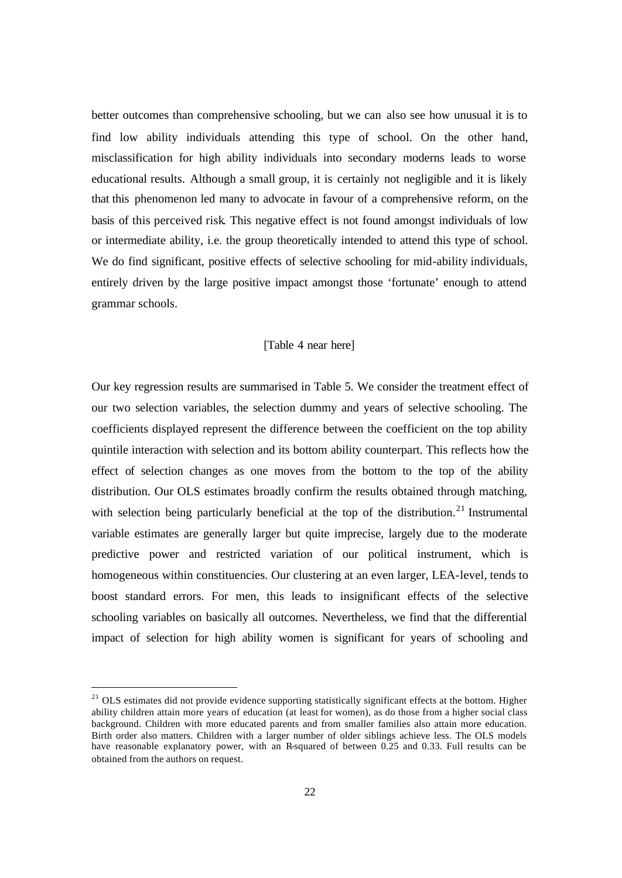better outcomes than comprehensive schooling, but we can also see how unusual it is to find low ability individuals attending this type of school. On the other hand, misclassification for high ability individuals into secondary moderns leads to worse educational results. Although a small group, it is certainly not negligible and it is likely that this phenomenon led many to advocate in favour of a comprehensive reform, on the basis of this perceived risk. This negative effect is not found amongst individuals of low or intermediate ability, i.e. the group theoretically intended to attend this type of school. We do find significant, positive effects of selective schooling for mid-ability individuals, entirely driven by the large positive impact amongst those 'fortunate' enough to attend grammar schools.

### [Table 4 near here]

Our key regression results are summarised in Table 5. We consider the treatment effect of our two selection variables, the selection dummy and years of selective schooling. The coefficients displayed represent the difference between the coefficient on the top ability quintile interaction with selection and its bottom ability counterpart. This reflects how the effect of selection changes as one moves from the bottom to the top of the ability distribution. Our OLS estimates broadly confirm the results obtained through matching, with selection being particularly beneficial at the top of the distribution.<sup>21</sup> Instrumental variable estimates are generally larger but quite imprecise, largely due to the moderate predictive power and restricted variation of our political instrument, which is homogeneous within constituencies. Our clustering at an even larger, LEA-level, tends to boost standard errors. For men, this leads to insignificant effects of the selective schooling variables on basically all outcomes. Nevertheless, we find that the differential impact of selection for high ability women is significant for years of schooling and

 $\overline{a}$ 

<sup>&</sup>lt;sup>21</sup> OLS estimates did not provide evidence supporting statistically significant effects at the bottom. Higher ability children attain more years of education (at least for women), as do those from a higher social class background. Children with more educated parents and from smaller families also attain more education. Birth order also matters. Children with a larger number of older siblings achieve less. The OLS models have reasonable explanatory power, with an R-squared of between 0.25 and 0.33. Full results can be obtained from the authors on request.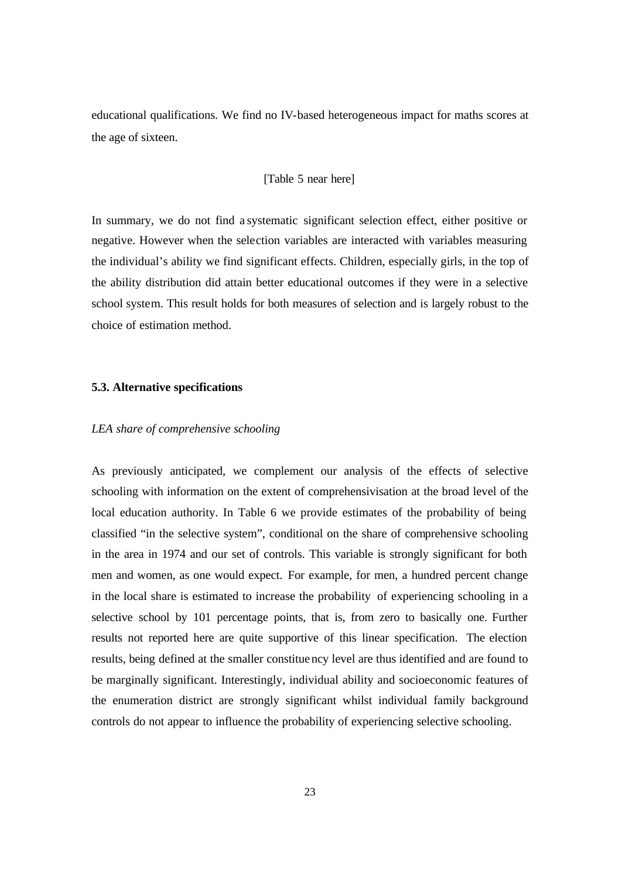educational qualifications. We find no IV-based heterogeneous impact for maths scores at the age of sixteen.

### [Table 5 near here]

In summary, we do not find a systematic significant selection effect, either positive or negative. However when the selection variables are interacted with variables measuring the individual's ability we find significant effects. Children, especially girls, in the top of the ability distribution did attain better educational outcomes if they were in a selective school system. This result holds for both measures of selection and is largely robust to the choice of estimation method.

### **5.3. Alternative specifications**

### *LEA share of comprehensive schooling*

As previously anticipated, we complement our analysis of the effects of selective schooling with information on the extent of comprehensivisation at the broad level of the local education authority. In Table 6 we provide estimates of the probability of being classified "in the selective system", conditional on the share of comprehensive schooling in the area in 1974 and our set of controls. This variable is strongly significant for both men and women, as one would expect. For example, for men, a hundred percent change in the local share is estimated to increase the probability of experiencing schooling in a selective school by 101 percentage points, that is, from zero to basically one. Further results not reported here are quite supportive of this linear specification. The election results, being defined at the smaller constituency level are thus identified and are found to be marginally significant. Interestingly, individual ability and socioeconomic features of the enumeration district are strongly significant whilst individual family background controls do not appear to influence the probability of experiencing selective schooling.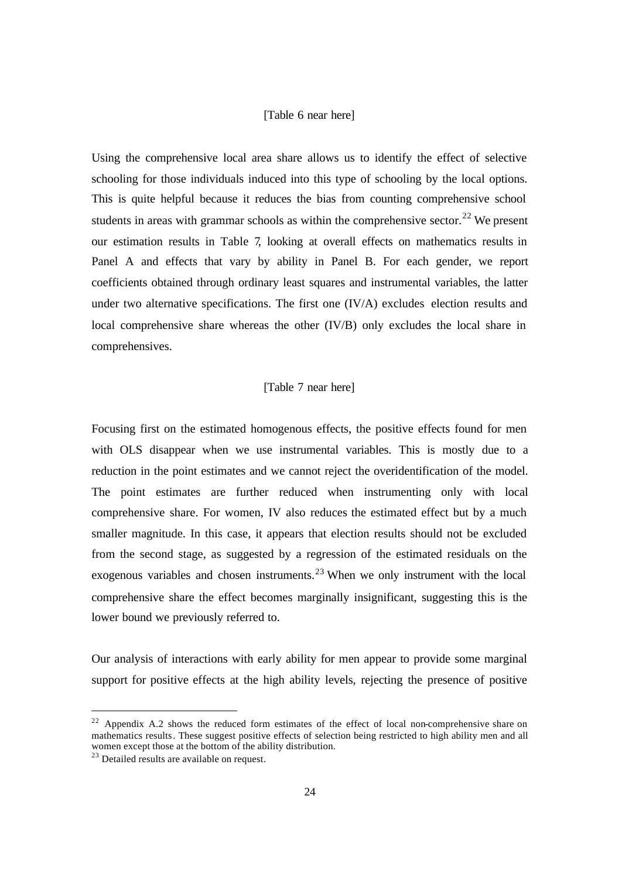### [Table 6 near here]

Using the comprehensive local area share allows us to identify the effect of selective schooling for those individuals induced into this type of schooling by the local options. This is quite helpful because it reduces the bias from counting comprehensive school students in areas with grammar schools as within the comprehensive sector.<sup>22</sup> We present our estimation results in Table 7, looking at overall effects on mathematics results in Panel A and effects that vary by ability in Panel B. For each gender, we report coefficients obtained through ordinary least squares and instrumental variables, the latter under two alternative specifications. The first one (IV/A) excludes election results and local comprehensive share whereas the other (IV/B) only excludes the local share in comprehensives.

### [Table 7 near here]

Focusing first on the estimated homogenous effects, the positive effects found for men with OLS disappear when we use instrumental variables. This is mostly due to a reduction in the point estimates and we cannot reject the overidentification of the model. The point estimates are further reduced when instrumenting only with local comprehensive share. For women, IV also reduces the estimated effect but by a much smaller magnitude. In this case, it appears that election results should not be excluded from the second stage, as suggested by a regression of the estimated residuals on the exogenous variables and chosen instruments.<sup>23</sup> When we only instrument with the local comprehensive share the effect becomes marginally insignificant, suggesting this is the lower bound we previously referred to.

Our analysis of interactions with early ability for men appear to provide some marginal support for positive effects at the high ability levels, rejecting the presence of positive

 $\overline{a}$ 

<sup>&</sup>lt;sup>22</sup> Appendix A.2 shows the reduced form estimates of the effect of local non-comprehensive share on mathematics results. These suggest positive effects of selection being restricted to high ability men and all women except those at the bottom of the ability distribution.

<sup>&</sup>lt;sup>23</sup> Detailed results are available on request.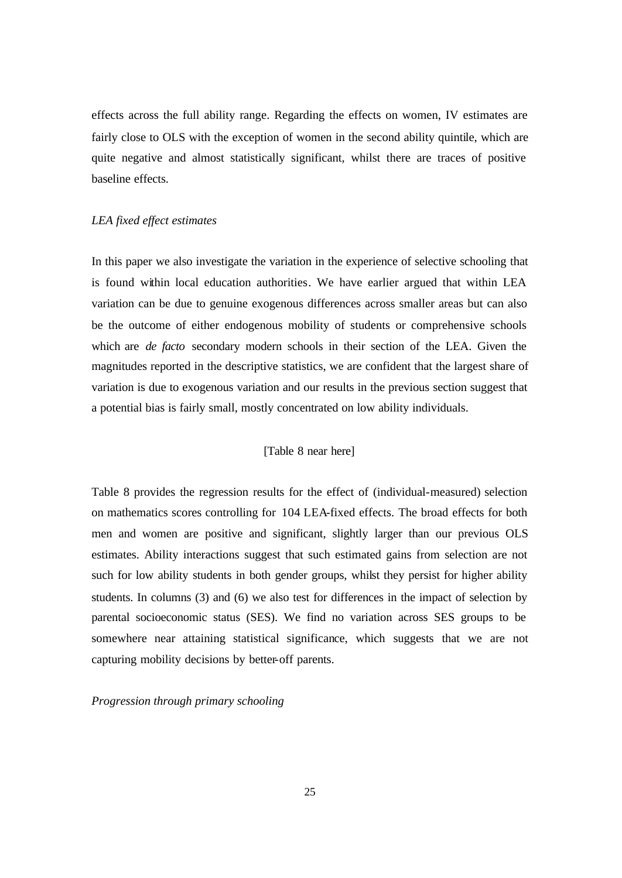effects across the full ability range. Regarding the effects on women, IV estimates are fairly close to OLS with the exception of women in the second ability quintile, which are quite negative and almost statistically significant, whilst there are traces of positive baseline effects.

### *LEA fixed effect estimates*

In this paper we also investigate the variation in the experience of selective schooling that is found within local education authorities. We have earlier argued that within LEA variation can be due to genuine exogenous differences across smaller areas but can also be the outcome of either endogenous mobility of students or comprehensive schools which are *de facto* secondary modern schools in their section of the LEA. Given the magnitudes reported in the descriptive statistics, we are confident that the largest share of variation is due to exogenous variation and our results in the previous section suggest that a potential bias is fairly small, mostly concentrated on low ability individuals.

### [Table 8 near here]

Table 8 provides the regression results for the effect of (individual-measured) selection on mathematics scores controlling for 104 LEA-fixed effects. The broad effects for both men and women are positive and significant, slightly larger than our previous OLS estimates. Ability interactions suggest that such estimated gains from selection are not such for low ability students in both gender groups, whilst they persist for higher ability students. In columns (3) and (6) we also test for differences in the impact of selection by parental socioeconomic status (SES). We find no variation across SES groups to be somewhere near attaining statistical significance, which suggests that we are not capturing mobility decisions by better-off parents.

*Progression through primary schooling*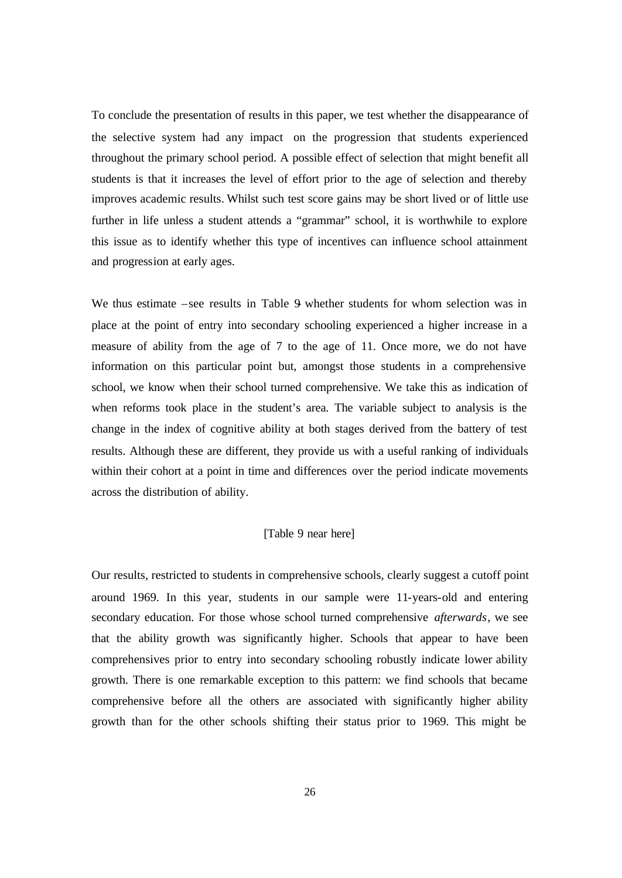To conclude the presentation of results in this paper, we test whether the disappearance of the selective system had any impact on the progression that students experienced throughout the primary school period. A possible effect of selection that might benefit all students is that it increases the level of effort prior to the age of selection and thereby improves academic results. Whilst such test score gains may be short lived or of little use further in life unless a student attends a "grammar" school, it is worthwhile to explore this issue as to identify whether this type of incentives can influence school attainment and progression at early ages.

We thus estimate –see results in Table 9 whether students for whom selection was in place at the point of entry into secondary schooling experienced a higher increase in a measure of ability from the age of 7 to the age of 11. Once more, we do not have information on this particular point but, amongst those students in a comprehensive school, we know when their school turned comprehensive. We take this as indication of when reforms took place in the student's area. The variable subject to analysis is the change in the index of cognitive ability at both stages derived from the battery of test results. Although these are different, they provide us with a useful ranking of individuals within their cohort at a point in time and differences over the period indicate movements across the distribution of ability.

### [Table 9 near here]

Our results, restricted to students in comprehensive schools, clearly suggest a cutoff point around 1969. In this year, students in our sample were 11-years-old and entering secondary education. For those whose school turned comprehensive *afterwards*, we see that the ability growth was significantly higher. Schools that appear to have been comprehensives prior to entry into secondary schooling robustly indicate lower ability growth. There is one remarkable exception to this pattern: we find schools that became comprehensive before all the others are associated with significantly higher ability growth than for the other schools shifting their status prior to 1969. This might be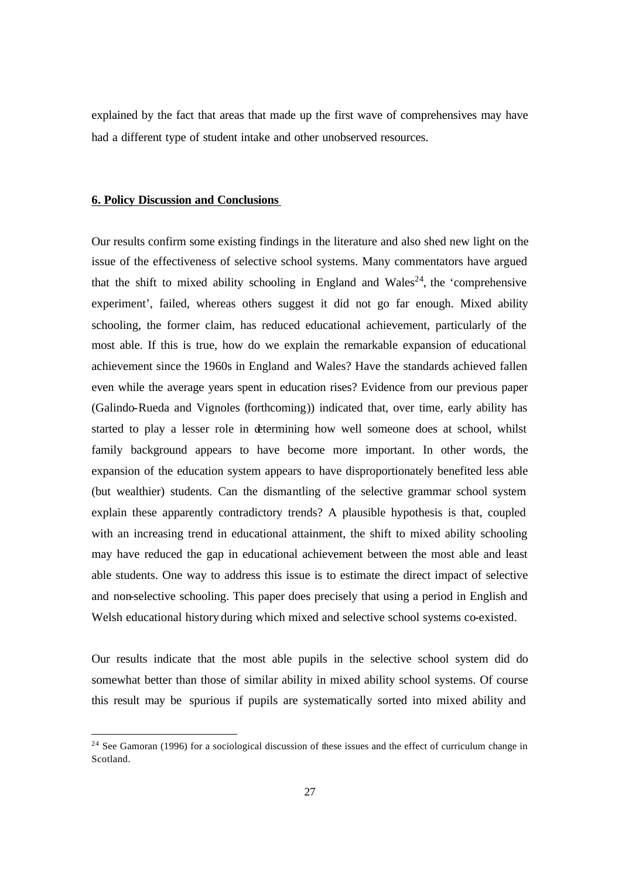explained by the fact that areas that made up the first wave of comprehensives may have had a different type of student intake and other unobserved resources.

### **6. Policy Discussion and Conclusions**

 $\overline{a}$ 

Our results confirm some existing findings in the literature and also shed new light on the issue of the effectiveness of selective school systems. Many commentators have argued that the shift to mixed ability schooling in England and Wales<sup>24</sup>, the 'comprehensive experiment', failed, whereas others suggest it did not go far enough. Mixed ability schooling, the former claim, has reduced educational achievement, particularly of the most able. If this is true, how do we explain the remarkable expansion of educational achievement since the 1960s in England and Wales? Have the standards achieved fallen even while the average years spent in education rises? Evidence from our previous paper (Galindo-Rueda and Vignoles (forthcoming)) indicated that, over time, early ability has started to play a lesser role in determining how well someone does at school, whilst family background appears to have become more important. In other words, the expansion of the education system appears to have disproportionately benefited less able (but wealthier) students. Can the dismantling of the selective grammar school system explain these apparently contradictory trends? A plausible hypothesis is that, coupled with an increasing trend in educational attainment, the shift to mixed ability schooling may have reduced the gap in educational achievement between the most able and least able students. One way to address this issue is to estimate the direct impact of selective and non-selective schooling. This paper does precisely that using a period in English and Welsh educational history during which mixed and selective school systems co-existed.

Our results indicate that the most able pupils in the selective school system did do somewhat better than those of similar ability in mixed ability school systems. Of course this result may be spurious if pupils are systematically sorted into mixed ability and

<sup>&</sup>lt;sup>24</sup> See Gamoran (1996) for a sociological discussion of these issues and the effect of curriculum change in Scotland.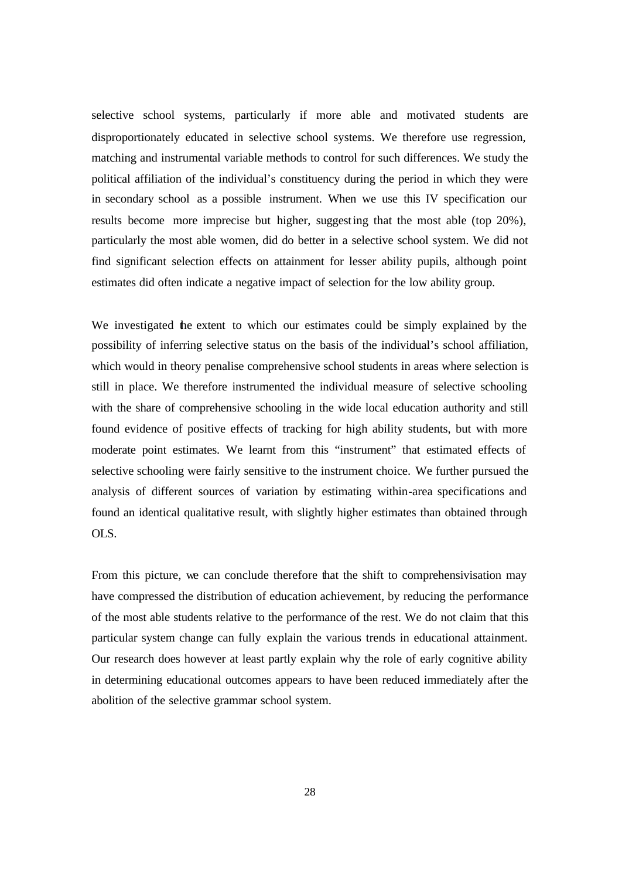selective school systems, particularly if more able and motivated students are disproportionately educated in selective school systems. We therefore use regression, matching and instrumental variable methods to control for such differences. We study the political affiliation of the individual's constituency during the period in which they were in secondary school as a possible instrument. When we use this IV specification our results become more imprecise but higher, suggesting that the most able (top 20%), particularly the most able women, did do better in a selective school system. We did not find significant selection effects on attainment for lesser ability pupils, although point estimates did often indicate a negative impact of selection for the low ability group.

We investigated the extent to which our estimates could be simply explained by the possibility of inferring selective status on the basis of the individual's school affiliation, which would in theory penalise comprehensive school students in areas where selection is still in place. We therefore instrumented the individual measure of selective schooling with the share of comprehensive schooling in the wide local education authority and still found evidence of positive effects of tracking for high ability students, but with more moderate point estimates. We learnt from this "instrument" that estimated effects of selective schooling were fairly sensitive to the instrument choice. We further pursued the analysis of different sources of variation by estimating within-area specifications and found an identical qualitative result, with slightly higher estimates than obtained through OLS.

From this picture, we can conclude therefore that the shift to comprehensivisation may have compressed the distribution of education achievement, by reducing the performance of the most able students relative to the performance of the rest. We do not claim that this particular system change can fully explain the various trends in educational attainment. Our research does however at least partly explain why the role of early cognitive ability in determining educational outcomes appears to have been reduced immediately after the abolition of the selective grammar school system.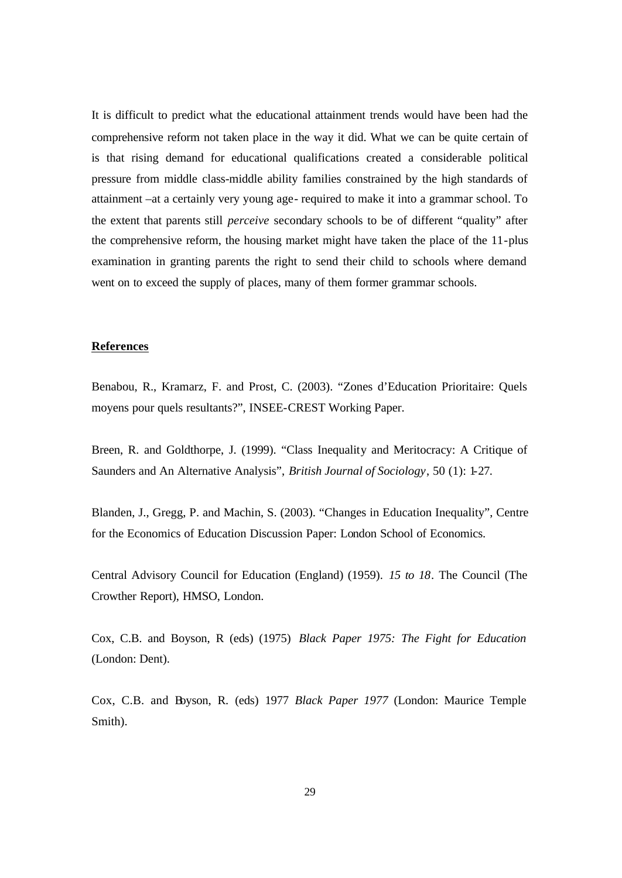It is difficult to predict what the educational attainment trends would have been had the comprehensive reform not taken place in the way it did. What we can be quite certain of is that rising demand for educational qualifications created a considerable political pressure from middle class-middle ability families constrained by the high standards of attainment –at a certainly very young age- required to make it into a grammar school. To the extent that parents still *perceive* secondary schools to be of different "quality" after the comprehensive reform, the housing market might have taken the place of the 11-plus examination in granting parents the right to send their child to schools where demand went on to exceed the supply of places, many of them former grammar schools.

### **References**

Benabou, R., Kramarz, F. and Prost, C. (2003). "Zones d'Education Prioritaire: Quels moyens pour quels resultants?", INSEE-CREST Working Paper.

Breen, R. and Goldthorpe, J. (1999). "Class Inequality and Meritocracy: A Critique of Saunders and An Alternative Analysis", *British Journal of Sociology*, 50 (1): 1-27.

Blanden, J., Gregg, P. and Machin, S. (2003). "Changes in Education Inequality", Centre for the Economics of Education Discussion Paper: London School of Economics.

Central Advisory Council for Education (England) (1959). *15 to 18*. The Council (The Crowther Report), HMSO, London.

Cox, C.B. and Boyson, R (eds) (1975) *Black Paper 1975: The Fight for Education*  (London: Dent).

Cox, C.B. and Boyson, R. (eds) 1977 *Black Paper 1977* (London: Maurice Temple Smith).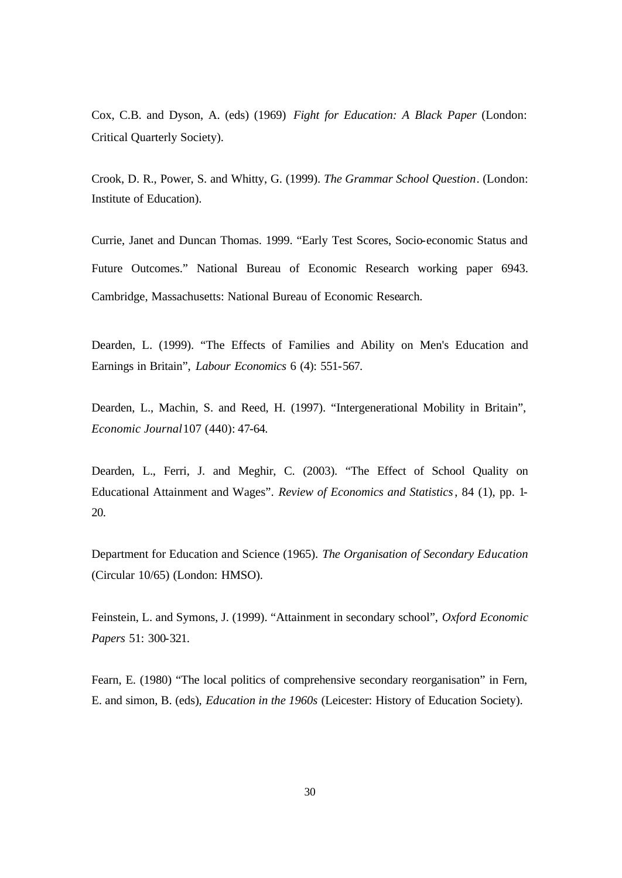Cox, C.B. and Dyson, A. (eds) (1969) *Fight for Education: A Black Paper* (London: Critical Quarterly Society).

Crook, D. R., Power, S. and Whitty, G. (1999). *The Grammar School Question*. (London: Institute of Education).

Currie, Janet and Duncan Thomas. 1999. "Early Test Scores, Socio-economic Status and Future Outcomes." National Bureau of Economic Research working paper 6943. Cambridge, Massachusetts: National Bureau of Economic Research.

Dearden, L. (1999). "The Effects of Families and Ability on Men's Education and Earnings in Britain", *Labour Economics* 6 (4): 551-567.

Dearden, L., Machin, S. and Reed, H. (1997). "Intergenerational Mobility in Britain", *Economic Journal* 107 (440): 47-64.

Dearden, L., Ferri, J. and Meghir, C. (2003). "The Effect of School Quality on Educational Attainment and Wages". *Review of Economics and Statistics*, 84 (1), pp. 1- 20.

Department for Education and Science (1965). *The Organisation of Secondary Education*  (Circular 10/65) (London: HMSO).

Feinstein, L. and Symons, J. (1999). "Attainment in secondary school", *Oxford Economic Papers* 51: 300-321.

Fearn, E. (1980) "The local politics of comprehensive secondary reorganisation" in Fern, E. and simon, B. (eds), *Education in the 1960s* (Leicester: History of Education Society).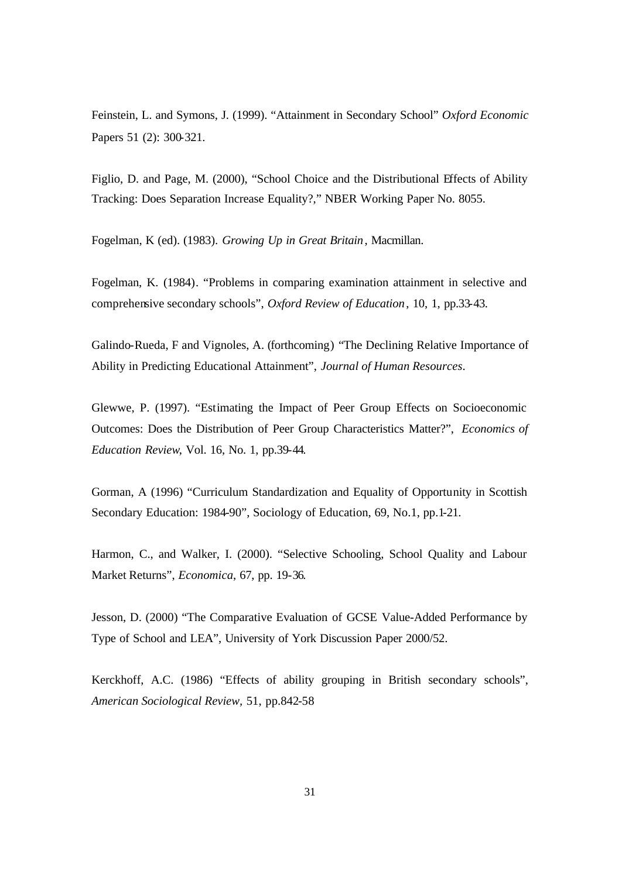Feinstein, L. and Symons, J. (1999). "Attainment in Secondary School" *Oxford Economic*  Papers 51 (2): 300-321.

Figlio, D. and Page, M. (2000), "School Choice and the Distributional Effects of Ability Tracking: Does Separation Increase Equality?," NBER Working Paper No. 8055.

Fogelman, K (ed). (1983). *Growing Up in Great Britain*, Macmillan.

Fogelman, K. (1984). "Problems in comparing examination attainment in selective and comprehensive secondary schools", *Oxford Review of Education*, 10, 1, pp.33-43.

Galindo-Rueda, F and Vignoles, A. (forthcoming) "The Declining Relative Importance of Ability in Predicting Educational Attainment", *Journal of Human Resources*.

Glewwe, P. (1997). "Estimating the Impact of Peer Group Effects on Socioeconomic Outcomes: Does the Distribution of Peer Group Characteristics Matter?", *Economics of Education Review*, Vol. 16, No. 1, pp.39-44.

Gorman, A (1996) "Curriculum Standardization and Equality of Opportunity in Scottish Secondary Education: 1984-90", Sociology of Education, 69, No.1, pp.1-21.

Harmon, C., and Walker, I. (2000). "Selective Schooling, School Quality and Labour Market Returns", *Economica*, 67, pp. 19-36.

Jesson, D. (2000) "The Comparative Evaluation of GCSE Value-Added Performance by Type of School and LEA", University of York Discussion Paper 2000/52.

Kerckhoff, A.C. (1986) "Effects of ability grouping in British secondary schools", *American Sociological Review,* 51, pp.842-58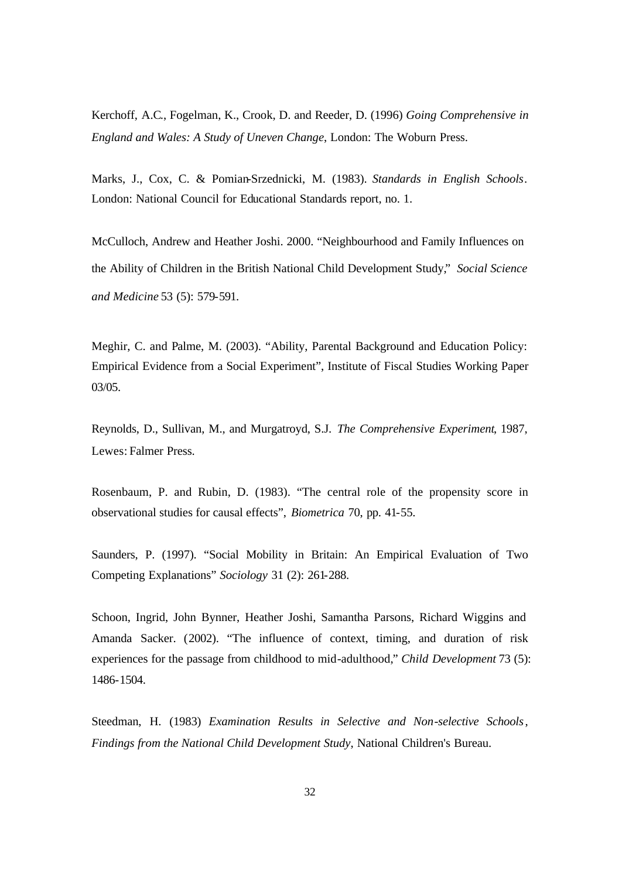Kerchoff, A.C., Fogelman, K., Crook, D. and Reeder, D. (1996) *Going Comprehensive in England and Wales: A Study of Uneven Change*, London: The Woburn Press.

Marks, J., Cox, C. & Pomian-Srzednicki, M. (1983). *Standards in English Schools*. London: National Council for Educational Standards report, no. 1.

McCulloch, Andrew and Heather Joshi. 2000. "Neighbourhood and Family Influences on the Ability of Children in the British National Child Development Study," *Social Science and Medicine* 53 (5): 579-591.

Meghir, C. and Palme, M. (2003). "Ability, Parental Background and Education Policy: Empirical Evidence from a Social Experiment", Institute of Fiscal Studies Working Paper 03/05.

Reynolds, D., Sullivan, M., and Murgatroyd, S.J. *The Comprehensive Experiment*, 1987, Lewes: Falmer Press.

Rosenbaum, P. and Rubin, D. (1983). "The central role of the propensity score in observational studies for causal effects", *Biometrica* 70, pp. 41-55.

Saunders, P. (1997). "Social Mobility in Britain: An Empirical Evaluation of Two Competing Explanations" *Sociology* 31 (2): 261-288.

Schoon, Ingrid, John Bynner, Heather Joshi, Samantha Parsons, Richard Wiggins and Amanda Sacker. (2002). "The influence of context, timing, and duration of risk experiences for the passage from childhood to mid-adulthood," *Child Development* 73 (5): 1486-1504.

Steedman, H. (1983) *Examination Results in Selective and Non-selective Schools*, *Findings from the National Child Development Study*, National Children's Bureau.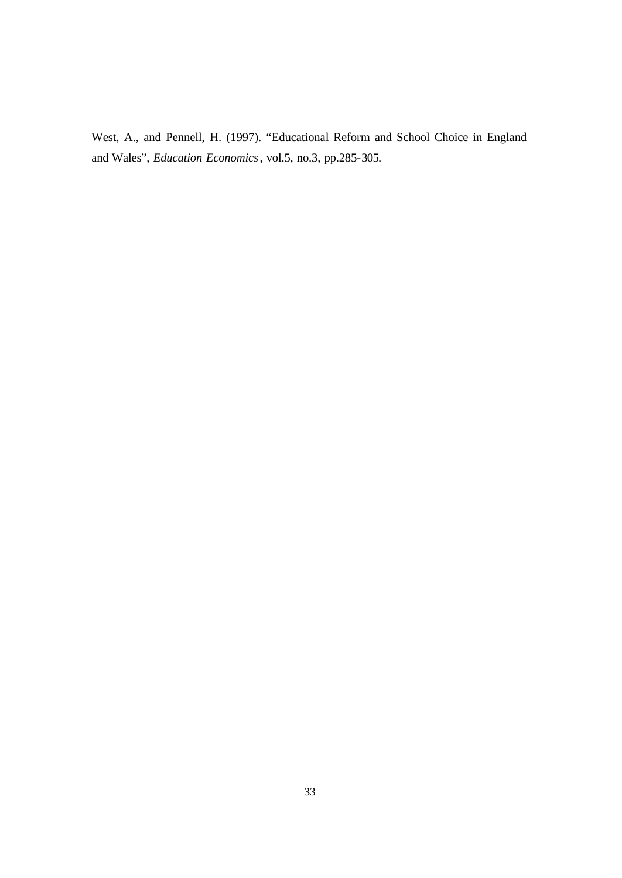West, A., and Pennell, H. (1997). "Educational Reform and School Choice in England and Wales", *Education Economics*, vol.5, no.3, pp.285-305.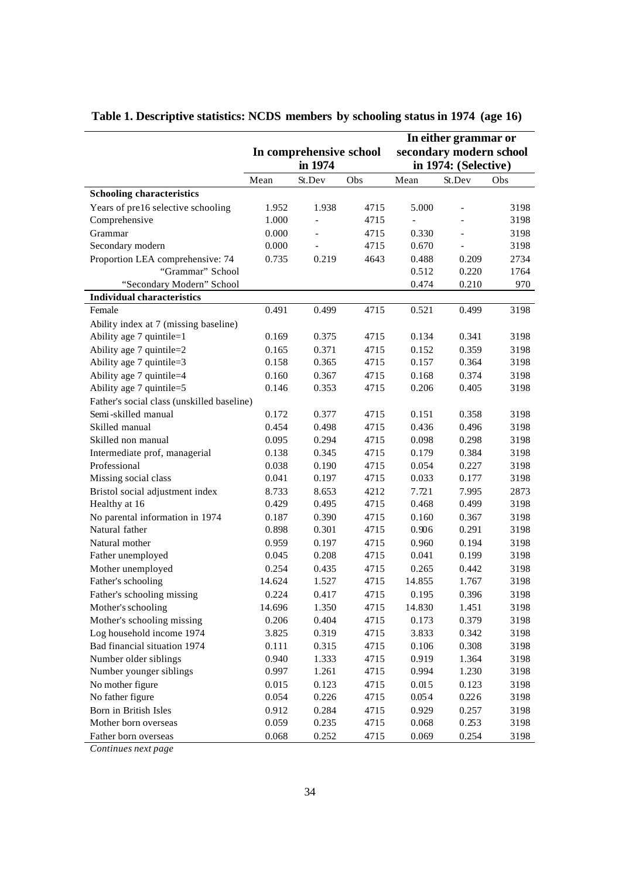|                                                      |                |                         |              | In either grammar or     |                      |              |  |
|------------------------------------------------------|----------------|-------------------------|--------------|--------------------------|----------------------|--------------|--|
|                                                      |                | In comprehensive school |              | secondary modern school  |                      |              |  |
|                                                      |                | in 1974                 |              |                          | in 1974: (Selective) |              |  |
|                                                      | Mean           | St.Dev                  | Obs          | Mean                     | St.Dev               | Obs          |  |
| <b>Schooling characteristics</b>                     |                |                         |              |                          |                      |              |  |
| Years of pre16 selective schooling                   | 1.952          | 1.938                   | 4715         | 5.000                    | $\qquad \qquad -$    | 3198         |  |
| Comprehensive                                        | 1.000          | $\overline{a}$          | 4715         | $\overline{\phantom{a}}$ |                      | 3198         |  |
| Grammar                                              | 0.000          |                         | 4715         | 0.330                    | $\overline{a}$       | 3198         |  |
| Secondary modern                                     | 0.000          |                         | 4715         | 0.670                    |                      | 3198         |  |
| Proportion LEA comprehensive: 74                     | 0.735          | 0.219                   | 4643         | 0.488                    | 0.209                | 2734         |  |
| "Grammar" School                                     |                |                         |              | 0.512                    | 0.220                | 1764         |  |
| "Secondary Modern" School                            |                |                         |              | 0.474                    | 0.210                | 970          |  |
| <b>Individual characteristics</b>                    |                |                         |              |                          |                      |              |  |
| Female                                               | 0.491          | 0.499                   | 4715         | 0.521                    | 0.499                | 3198         |  |
| Ability index at 7 (missing baseline)                |                |                         |              |                          |                      |              |  |
| Ability age 7 quintile=1                             | 0.169          | 0.375                   | 4715         | 0.134                    | 0.341                | 3198         |  |
| Ability age 7 quintile=2<br>Ability age 7 quintile=3 | 0.165<br>0.158 | 0.371<br>0.365          | 4715<br>4715 | 0.152<br>0.157           | 0.359<br>0.364       | 3198<br>3198 |  |
| Ability age 7 quintile=4                             | 0.160          | 0.367                   | 4715         | 0.168                    | 0.374                | 3198         |  |
| Ability age 7 quintile=5                             | 0.146          | 0.353                   | 4715         | 0.206                    | 0.405                | 3198         |  |
| Father's social class (unskilled baseline)           |                |                         |              |                          |                      |              |  |
| Semi-skilled manual                                  | 0.172          | 0.377                   | 4715         | 0.151                    | 0.358                | 3198         |  |
| Skilled manual                                       | 0.454          | 0.498                   | 4715         | 0.436                    | 0.496                | 3198         |  |
| Skilled non manual                                   | 0.095          | 0.294                   | 4715         | 0.098                    | 0.298                | 3198         |  |
| Intermediate prof, managerial                        | 0.138          | 0.345                   | 4715         | 0.179                    | 0.384                | 3198         |  |
| Professional                                         | 0.038          | 0.190                   | 4715         | 0.054                    | 0.227                | 3198         |  |
| Missing social class                                 | 0.041          | 0.197                   | 4715         | 0.033                    | 0.177                | 3198         |  |
| Bristol social adjustment index                      | 8.733          | 8.653                   | 4212         | 7.721                    | 7.995                | 2873         |  |
| Healthy at 16                                        | 0.429          | 0.495                   | 4715         | 0.468                    | 0.499                | 3198         |  |
| No parental information in 1974                      | 0.187          | 0.390                   | 4715         | 0.160                    | 0.367                | 3198         |  |
| Natural father                                       | 0.898          | 0.301                   | 4715         | 0.906                    | 0.291                | 3198         |  |
| Natural mother                                       | 0.959          | 0.197                   | 4715         | 0.960                    | 0.194                | 3198         |  |
| Father unemployed                                    | 0.045          | 0.208                   | 4715         | 0.041                    | 0.199                | 3198         |  |
| Mother unemployed                                    | 0.254          | 0.435                   | 4715         | 0.265                    | 0.442                | 3198         |  |
| Father's schooling                                   | 14.624         | 1.527                   | 4715         | 14.855                   | 1.767                | 3198         |  |
| Father's schooling missing                           | 0.224          | 0.417                   | 4715         | 0.195                    | 0.396                | 3198         |  |
| Mother's schooling                                   | 14.696         | 1.350                   | 4715         | 14.830                   | 1.451                | 3198         |  |
| Mother's schooling missing                           | 0.206          | 0.404                   | 4715         | 0.173                    | 0.379                | 3198         |  |
| Log household income 1974                            | 3.825          | 0.319                   | 4715         | 3.833                    | 0.342                | 3198         |  |
| Bad financial situation 1974                         | 0.111          | 0.315                   | 4715         | 0.106                    | 0.308                | 3198         |  |
| Number older siblings                                | 0.940          | 1.333                   | 4715         | 0.919                    | 1.364                | 3198         |  |
| Number younger siblings                              | 0.997          | 1.261                   | 4715         | 0.994                    | 1.230                | 3198         |  |
| No mother figure<br>No father figure                 | 0.015<br>0.054 | 0.123<br>0.226          | 4715<br>4715 | 0.015<br>0.054           | 0.123<br>0.226       | 3198<br>3198 |  |
| Born in British Isles                                | 0.912          | 0.284                   | 4715         | 0.929                    | 0.257                | 3198         |  |
| Mother born overseas                                 | 0.059          | 0.235                   | 4715         | 0.068                    | 0.253                | 3198         |  |
| Father born overseas                                 | 0.068          | 0.252                   | 4715         | 0.069                    | 0.254                | 3198         |  |
|                                                      |                |                         |              |                          |                      |              |  |

**Table 1. Descriptive statistics: NCDS members by schooling status in 1974 (age 16)**

*Continues next page*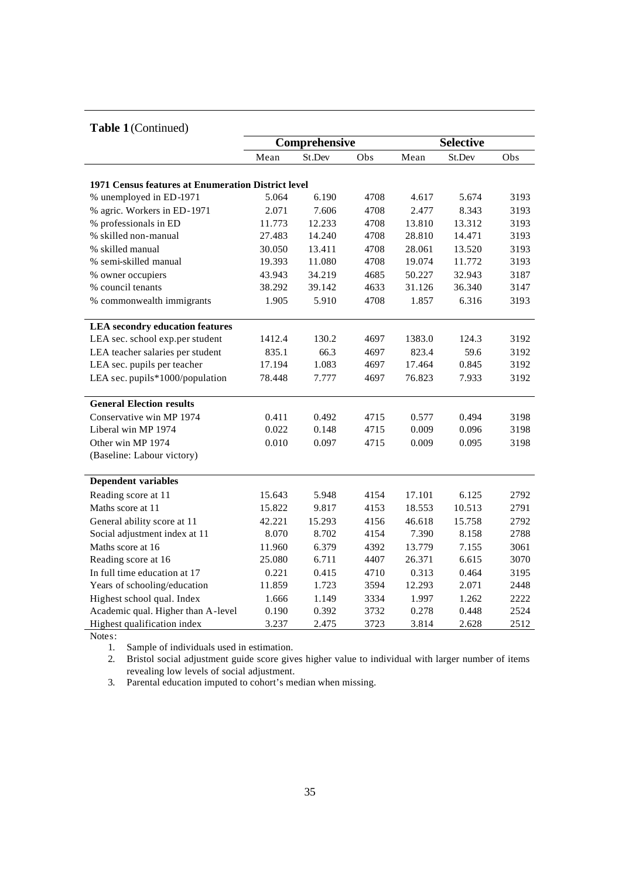### **Table 1** (Continued)

| $\mathbf{I}$ and $\mathbf{I}$ (community)          |        |               |      |                  |        |      |  |
|----------------------------------------------------|--------|---------------|------|------------------|--------|------|--|
|                                                    |        | Comprehensive |      | <b>Selective</b> |        |      |  |
|                                                    | Mean   | St.Dev        | Obs  | Mean             | St.Dev | Obs  |  |
|                                                    |        |               |      |                  |        |      |  |
| 1971 Census features at Enumeration District level |        |               |      |                  |        |      |  |
| % unemployed in ED-1971                            | 5.064  | 6.190         | 4708 | 4.617            | 5.674  | 3193 |  |
| % agric. Workers in ED-1971                        | 2.071  | 7.606         | 4708 | 2.477            | 8.343  | 3193 |  |
| % professionals in ED                              | 11.773 | 12.233        | 4708 | 13.810           | 13.312 | 3193 |  |
| % skilled non-manual                               | 27.483 | 14.240        | 4708 | 28.810           | 14.471 | 3193 |  |
| % skilled manual                                   | 30.050 | 13.411        | 4708 | 28.061           | 13.520 | 3193 |  |
| % semi-skilled manual                              | 19.393 | 11.080        | 4708 | 19.074           | 11.772 | 3193 |  |
| % owner occupiers                                  | 43.943 | 34.219        | 4685 | 50.227           | 32.943 | 3187 |  |
| % council tenants                                  | 38.292 | 39.142        | 4633 | 31.126           | 36.340 | 3147 |  |
| % commonwealth immigrants                          | 1.905  | 5.910         | 4708 | 1.857            | 6.316  | 3193 |  |
|                                                    |        |               |      |                  |        |      |  |
| <b>LEA</b> secondry education features             |        |               |      |                  |        |      |  |
| LEA sec. school exp.per student                    | 1412.4 | 130.2         | 4697 | 1383.0           | 124.3  | 3192 |  |
| LEA teacher salaries per student                   | 835.1  | 66.3          | 4697 | 823.4            | 59.6   | 3192 |  |
| LEA sec. pupils per teacher                        | 17.194 | 1.083         | 4697 | 17.464           | 0.845  | 3192 |  |
| LEA sec. pupils*1000/population                    | 78.448 | 7.777         | 4697 | 76.823           | 7.933  | 3192 |  |
|                                                    |        |               |      |                  |        |      |  |
| <b>General Election results</b>                    |        |               |      |                  |        |      |  |
| Conservative win MP 1974                           | 0.411  | 0.492         | 4715 | 0.577            | 0.494  | 3198 |  |
| Liberal win MP 1974                                | 0.022  | 0.148         | 4715 | 0.009            | 0.096  | 3198 |  |
| Other win MP 1974                                  | 0.010  | 0.097         | 4715 | 0.009            | 0.095  | 3198 |  |
| (Baseline: Labour victory)                         |        |               |      |                  |        |      |  |
|                                                    |        |               |      |                  |        |      |  |
| <b>Dependent variables</b>                         |        |               |      |                  |        |      |  |
| Reading score at 11                                | 15.643 | 5.948         | 4154 | 17.101           | 6.125  | 2792 |  |
| Maths score at 11                                  | 15.822 | 9.817         | 4153 | 18.553           | 10.513 | 2791 |  |
| General ability score at 11                        | 42.221 | 15.293        | 4156 | 46.618           | 15.758 | 2792 |  |
| Social adjustment index at 11                      | 8.070  | 8.702         | 4154 | 7.390            | 8.158  | 2788 |  |
| Maths score at 16                                  | 11.960 | 6.379         | 4392 | 13.779           | 7.155  | 3061 |  |
| Reading score at 16                                | 25.080 | 6.711         | 4407 | 26.371           | 6.615  | 3070 |  |
| In full time education at 17                       | 0.221  | 0.415         | 4710 | 0.313            | 0.464  | 3195 |  |
| Years of schooling/education                       | 11.859 | 1.723         | 3594 | 12.293           | 2.071  | 2448 |  |
| Highest school qual. Index                         | 1.666  | 1.149         | 3334 | 1.997            | 1.262  | 2222 |  |
| Academic qual. Higher than A-level                 | 0.190  | 0.392         | 3732 | 0.278            | 0.448  | 2524 |  |
| Highest qualification index                        | 3.237  | 2.475         | 3723 | 3.814            | 2.628  | 2512 |  |

Notes:

1. Sample of individuals used in estimation.

2. Bristol social adjustment guide score gives higher value to individual with larger number of items revealing low levels of social adjustment.

3. Parental education imputed to cohort's median when missing.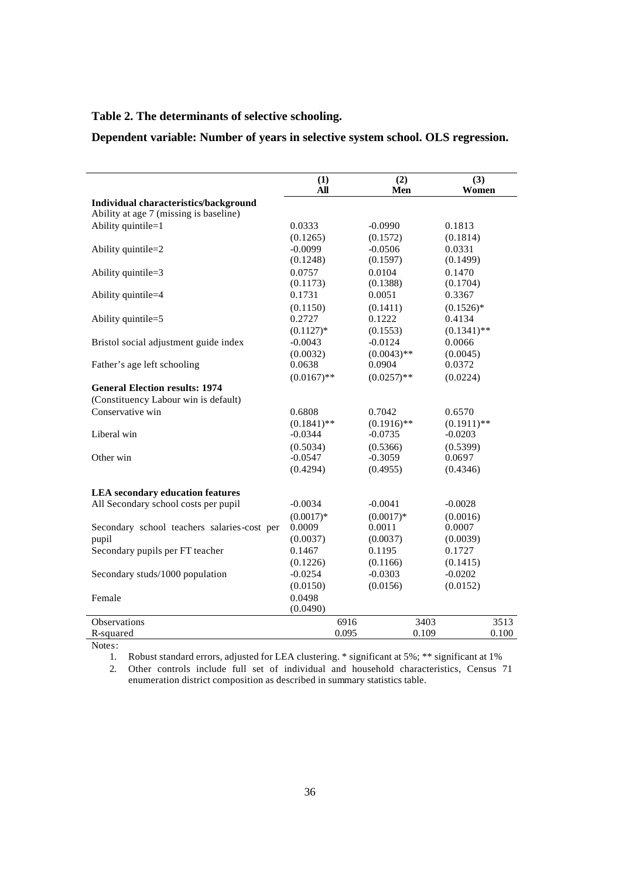### **Table 2. The determinants of selective schooling.**

**Dependent variable: Number of years in selective system school. OLS regression.**

|                                             | (1)<br>All    | (2)<br>Men    | (3)<br>Women  |
|---------------------------------------------|---------------|---------------|---------------|
| Individual characteristics/background       |               |               |               |
| Ability at age 7 (missing is baseline)      |               |               |               |
| Ability quintile=1                          | 0.0333        | $-0.0990$     | 0.1813        |
|                                             | (0.1265)      | (0.1572)      | (0.1814)      |
| Ability quintile=2                          | $-0.0099$     | $-0.0506$     | 0.0331        |
|                                             | (0.1248)      | (0.1597)      | (0.1499)      |
| Ability quintile=3                          | 0.0757        | 0.0104        | 0.1470        |
|                                             | (0.1173)      | (0.1388)      | (0.1704)      |
| Ability quintile=4                          | 0.1731        | 0.0051        | 0.3367        |
|                                             | (0.1150)      | (0.1411)      | $(0.1526)^*$  |
| Ability quintile=5                          | 0.2727        | 0.1222        | 0.4134        |
|                                             | $(0.1127)$ *  | (0.1553)      | $(0.1341)$ ** |
| Bristol social adjustment guide index       | $-0.0043$     | $-0.0124$     | 0.0066        |
|                                             | (0.0032)      | $(0.0043)$ ** | (0.0045)      |
| Father's age left schooling                 | 0.0638        | 0.0904        | 0.0372        |
|                                             | $(0.0167)$ ** | $(0.0257)$ ** | (0.0224)      |
| <b>General Election results: 1974</b>       |               |               |               |
| (Constituency Labour win is default)        |               |               |               |
| Conservative win                            | 0.6808        | 0.7042        | 0.6570        |
|                                             | $(0.1841)$ ** | $(0.1916)$ ** | $(0.1911)$ ** |
| Liberal win                                 | $-0.0344$     | $-0.0735$     | $-0.0203$     |
|                                             | (0.5034)      | (0.5366)      | (0.5399)      |
| Other win                                   | $-0.0547$     | $-0.3059$     | 0.0697        |
|                                             | (0.4294)      | (0.4955)      | (0.4346)      |
|                                             |               |               |               |
| <b>LEA</b> secondary education features     |               |               |               |
| All Secondary school costs per pupil        | $-0.0034$     | $-0.0041$     | $-0.0028$     |
|                                             | $(0.0017)*$   | $(0.0017)*$   | (0.0016)      |
| Secondary school teachers salaries-cost per | 0.0009        | 0.0011        | 0.0007        |
| pupil                                       | (0.0037)      | (0.0037)      | (0.0039)      |
| Secondary pupils per FT teacher             | 0.1467        | 0.1195        | 0.1727        |
|                                             | (0.1226)      | (0.1166)      | (0.1415)      |
| Secondary studs/1000 population             | $-0.0254$     | $-0.0303$     | $-0.0202$     |
|                                             | (0.0150)      | (0.0156)      | (0.0152)      |
| Female                                      | 0.0498        |               |               |
|                                             | (0.0490)      |               |               |
| <b>Observations</b>                         | 6916          | 3403          | 3513          |
| R-squared                                   | 0.095         | 0.109         | 0.100         |

Notes:

1. Robust standard errors, adjusted for LEA clustering. \* significant at 5%; \*\* significant at 1%

2. Other controls include full set of individual and household characteristics, Census 71 enumeration district composition as described in summary statistics table.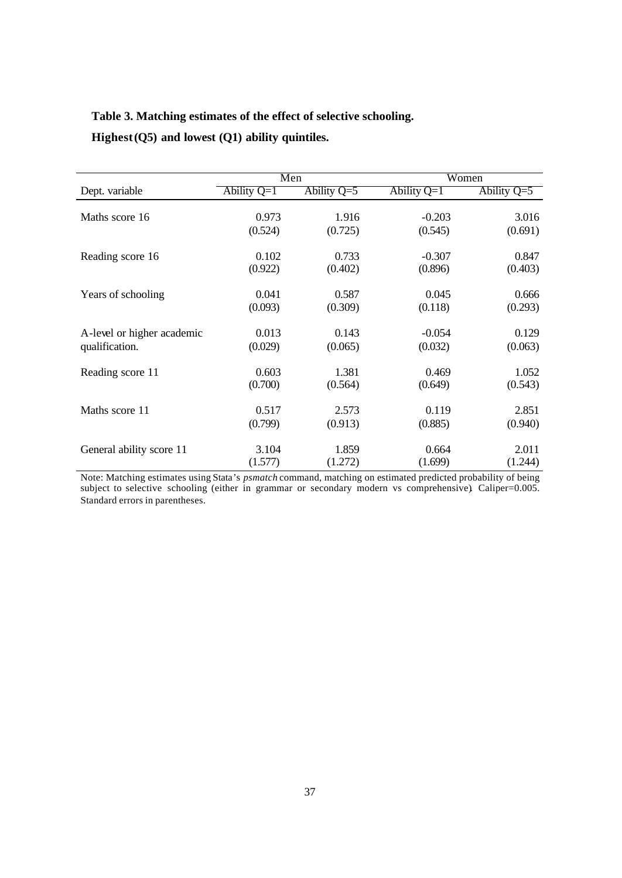### **Table 3. Matching estimates of the effect of selective schooling.**

**Highest (Q5) and lowest (Q1) ability quintiles.** 

|                            | Men           |               |               | Women         |
|----------------------------|---------------|---------------|---------------|---------------|
| Dept. variable             | Ability $Q=1$ | Ability $Q=5$ | Ability $Q=1$ | Ability $Q=5$ |
|                            |               |               |               |               |
| Maths score 16             | 0.973         | 1.916         | $-0.203$      | 3.016         |
|                            | (0.524)       | (0.725)       | (0.545)       | (0.691)       |
| Reading score 16           | 0.102         | 0.733         | $-0.307$      | 0.847         |
|                            | (0.922)       | (0.402)       | (0.896)       | (0.403)       |
|                            | 0.041         | 0.587         | 0.045         | 0.666         |
| Years of schooling         | (0.093)       |               |               |               |
|                            |               | (0.309)       | (0.118)       | (0.293)       |
| A-level or higher academic | 0.013         | 0.143         | $-0.054$      | 0.129         |
| qualification.             | (0.029)       | (0.065)       | (0.032)       | (0.063)       |
| Reading score 11           | 0.603         | 1.381         | 0.469         | 1.052         |
|                            | (0.700)       | (0.564)       | (0.649)       | (0.543)       |
|                            |               |               |               |               |
| Maths score 11             | 0.517         | 2.573         | 0.119         | 2.851         |
|                            | (0.799)       | (0.913)       | (0.885)       | (0.940)       |
|                            | 3.104         | 1.859         | 0.664         | 2.011         |
| General ability score 11   |               |               |               |               |
|                            | (1.577)       | (1.272)       | (1.699)       | (1.244)       |

Note: Matching estimates using Stata's *psmatch* command, matching on estimated predicted probability of being subject to selective schooling (either in grammar or secondary modern vs comprehensive). Caliper=0.005. Standard errors in parentheses.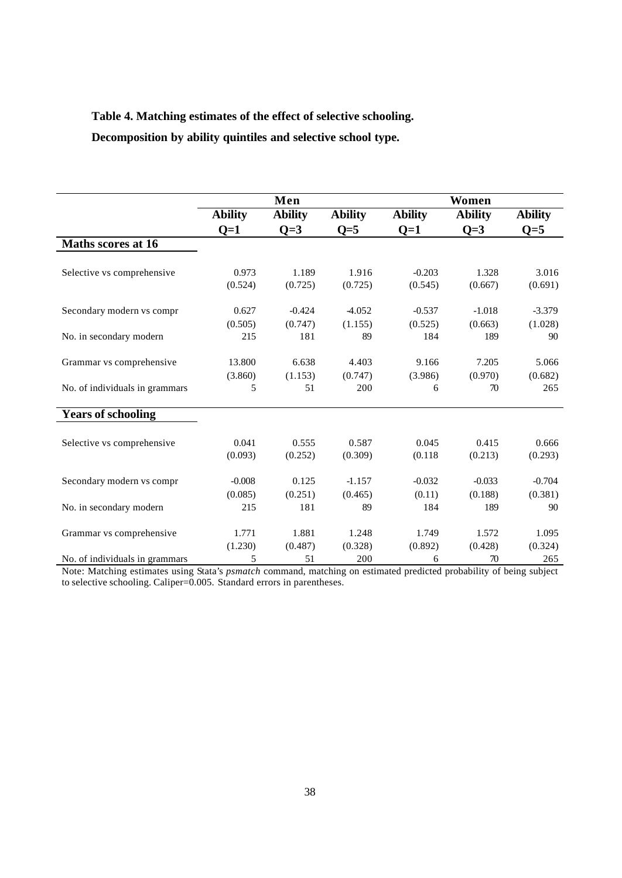## **Table 4. Matching estimates of the effect of selective schooling.**

**Decomposition by ability quintiles and selective school type.** 

|                                |                | Men            |                |                | Women          |                |
|--------------------------------|----------------|----------------|----------------|----------------|----------------|----------------|
|                                | <b>Ability</b> | <b>Ability</b> | <b>Ability</b> | <b>Ability</b> | <b>Ability</b> | <b>Ability</b> |
|                                | $Q=1$          | $Q=3$          | $Q=5$          | $Q=1$          | $Q=3$          | $Q=5$          |
| Maths scores at 16             |                |                |                |                |                |                |
| Selective vs comprehensive     | 0.973          | 1.189          | 1.916          | $-0.203$       | 1.328          | 3.016          |
|                                | (0.524)        | (0.725)        | (0.725)        | (0.545)        | (0.667)        | (0.691)        |
| Secondary modern vs compr      | 0.627          | $-0.424$       | -4.052         | $-0.537$       | $-1.018$       | $-3.379$       |
|                                | (0.505)        | (0.747)        | (1.155)        | (0.525)        | (0.663)        | (1.028)        |
| No. in secondary modern        | 215            | 181            | 89             | 184            | 189            | 90             |
| Grammar vs comprehensive       | 13.800         | 6.638          | 4.403          | 9.166          | 7.205          | 5.066          |
|                                | (3.860)        | (1.153)        | (0.747)        | (3.986)        | (0.970)        | (0.682)        |
| No. of individuals in grammars | 5              | 51             | 200            | 6              | 70             | 265            |
| <b>Years of schooling</b>      |                |                |                |                |                |                |
| Selective vs comprehensive     | 0.041          | 0.555          | 0.587          | 0.045          | 0.415          | 0.666          |
|                                | (0.093)        | (0.252)        | (0.309)        | (0.118)        | (0.213)        | (0.293)        |
| Secondary modern vs compr      | $-0.008$       | 0.125          | $-1.157$       | $-0.032$       | $-0.033$       | $-0.704$       |
|                                | (0.085)        | (0.251)        | (0.465)        | (0.11)         | (0.188)        | (0.381)        |
| No. in secondary modern        | 215            | 181            | 89             | 184            | 189            | 90             |
| Grammar vs comprehensive       | 1.771          | 1.881          | 1.248          | 1.749          | 1.572          | 1.095          |
|                                | (1.230)        | (0.487)        | (0.328)        | (0.892)        | (0.428)        | (0.324)        |
| No. of individuals in grammars | 5              | 51             | 200            | 6              | 70             | 265            |

Note: Matching estimates using Stata's *psmatch* command, matching on estimated predicted probability of being subject to selective schooling. Caliper=0.005. Standard errors in parentheses.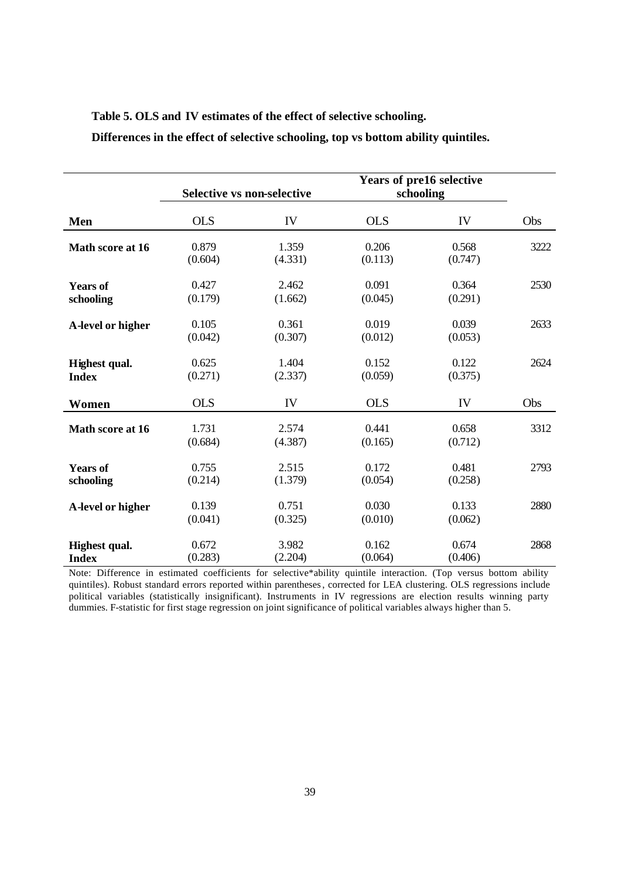|                               |                  | Selective vs non-selective |                  | Years of pre16 selective<br>schooling |      |
|-------------------------------|------------------|----------------------------|------------------|---------------------------------------|------|
| Men                           | <b>OLS</b>       | IV                         | <b>OLS</b>       | IV                                    | Obs  |
| Math score at 16              | 0.879<br>(0.604) | 1.359<br>(4.331)           | 0.206<br>(0.113) | 0.568<br>(0.747)                      | 3222 |
| <b>Years of</b><br>schooling  | 0.427<br>(0.179) | 2.462<br>(1.662)           | 0.091<br>(0.045) | 0.364<br>(0.291)                      | 2530 |
| A-level or higher             | 0.105<br>(0.042) | 0.361<br>(0.307)           | 0.019<br>(0.012) | 0.039<br>(0.053)                      | 2633 |
| Highest qual.<br><b>Index</b> | 0.625<br>(0.271) | 1.404<br>(2.337)           | 0.152<br>(0.059) | 0.122<br>(0.375)                      | 2624 |
| Women                         | <b>OLS</b>       | IV                         | <b>OLS</b>       | IV                                    | Obs  |
| Math score at 16              | 1.731<br>(0.684) | 2.574<br>(4.387)           | 0.441<br>(0.165) | 0.658<br>(0.712)                      | 3312 |
| <b>Years of</b><br>schooling  | 0.755<br>(0.214) | 2.515<br>(1.379)           | 0.172<br>(0.054) | 0.481<br>(0.258)                      | 2793 |
| A-level or higher             | 0.139<br>(0.041) | 0.751<br>(0.325)           | 0.030<br>(0.010) | 0.133<br>(0.062)                      | 2880 |
| Highest qual.<br><b>Index</b> | 0.672<br>(0.283) | 3.982<br>(2.204)           | 0.162<br>(0.064) | 0.674<br>(0.406)                      | 2868 |

**Table 5. OLS and IV estimates of the effect of selective schooling.**

**Differences in the effect of selective schooling, top vs bottom ability quintiles.**

Note: Difference in estimated coefficients for selective\*ability quintile interaction. (Top versus bottom ability quintiles). Robust standard errors reported within parentheses, corrected for LEA clustering. OLS regressions include political variables (statistically insignificant). Instruments in IV regressions are election results winning party dummies. F-statistic for first stage regression on joint significance of political variables always higher than 5.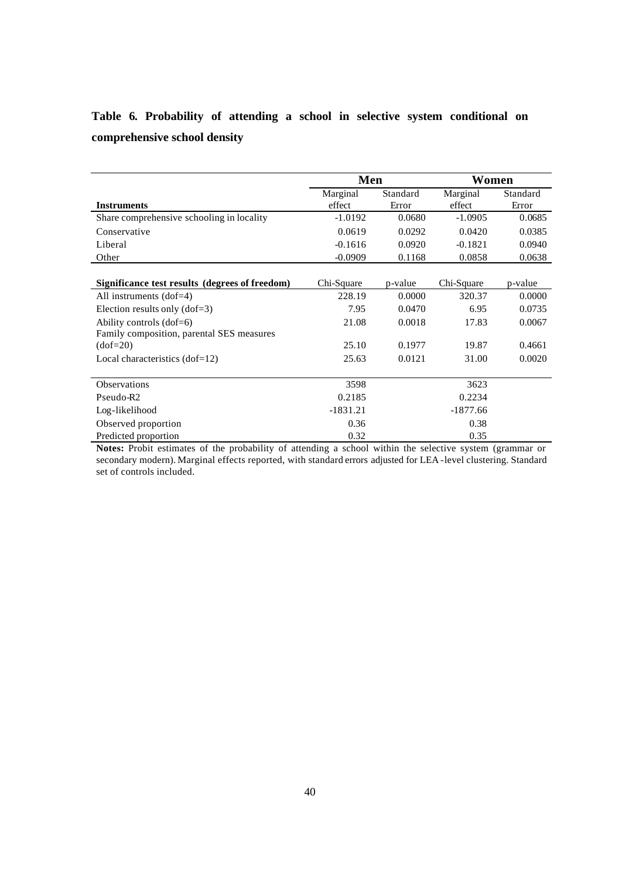|  | Table 6. Probability of attending a school in selective system conditional on |  |  |  |  |  |
|--|-------------------------------------------------------------------------------|--|--|--|--|--|
|  | comprehensive school density                                                  |  |  |  |  |  |

|                                                | Men        |          |            | Women    |  |  |
|------------------------------------------------|------------|----------|------------|----------|--|--|
|                                                | Marginal   | Standard | Marginal   | Standard |  |  |
| <b>Instruments</b>                             | effect     | Error    | effect     | Error    |  |  |
| Share comprehensive schooling in locality      | $-1.0192$  | 0.0680   | $-1.0905$  | 0.0685   |  |  |
| Conservative                                   | 0.0619     | 0.0292   | 0.0420     | 0.0385   |  |  |
| Liberal                                        | $-0.1616$  | 0.0920   | $-0.1821$  | 0.0940   |  |  |
| Other                                          | $-0.0909$  | 0.1168   | 0.0858     | 0.0638   |  |  |
|                                                |            |          |            |          |  |  |
| Significance test results (degrees of freedom) | Chi-Square | p-value  | Chi-Square | p-value  |  |  |
| All instruments $(dof=4)$                      | 228.19     | 0.0000   | 320.37     | 0.0000   |  |  |
| Election results only $(dof=3)$                | 7.95       | 0.0470   | 6.95       | 0.0735   |  |  |
| Ability controls (dof=6)                       | 21.08      | 0.0018   | 17.83      | 0.0067   |  |  |
| Family composition, parental SES measures      |            |          |            |          |  |  |
| $(dof=20)$                                     | 25.10      | 0.1977   | 19.87      | 0.4661   |  |  |
| Local characteristics $(dof=12)$               | 25.63      | 0.0121   | 31.00      | 0.0020   |  |  |
| <b>Observations</b>                            | 3598       |          | 3623       |          |  |  |
|                                                |            |          |            |          |  |  |
| Pseudo-R <sub>2</sub>                          | 0.2185     |          | 0.2234     |          |  |  |
| Log-likelihood                                 | $-1831.21$ |          | $-1877.66$ |          |  |  |
| Observed proportion                            | 0.36       |          | 0.38       |          |  |  |
| Predicted proportion                           | 0.32       |          | 0.35       |          |  |  |

**Notes:** Probit estimates of the probability of attending a school within the selective system (grammar or secondary modern). Marginal effects reported, with standard errors adjusted for LEA -level clustering. Standard set of controls included.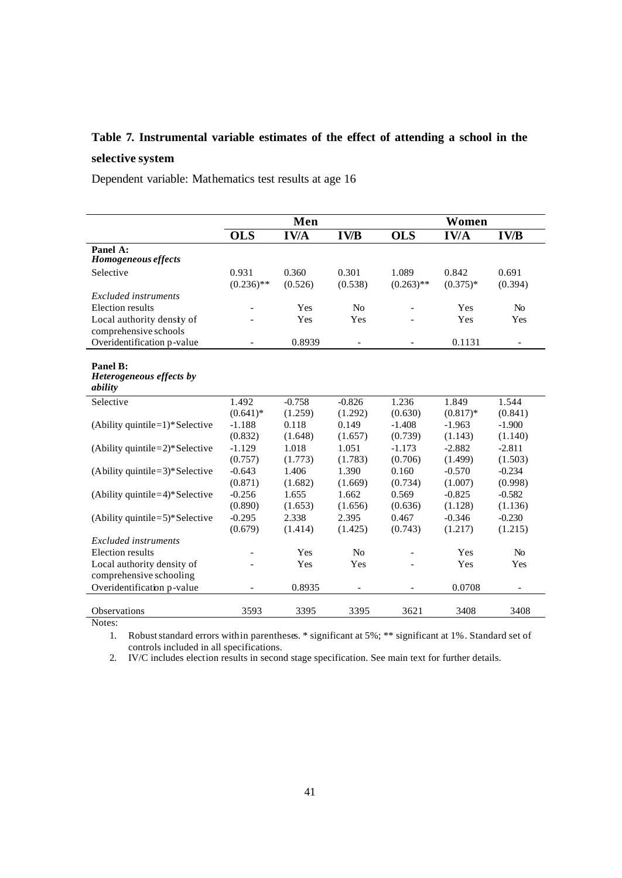# **Table 7. Instrumental variable estimates of the effect of attending a school in the selective system**

Dependent variable: Mathematics test results at age 16

|                                                       |                       | Men                 |                     |                       | Women               |                     |
|-------------------------------------------------------|-----------------------|---------------------|---------------------|-----------------------|---------------------|---------------------|
|                                                       | <b>OLS</b>            | <b>IV/A</b>         | <b>IV/B</b>         | <b>OLS</b>            | <b>IV/A</b>         | <b>IV/B</b>         |
| Panel A:<br><b>Homogeneous effects</b>                |                       |                     |                     |                       |                     |                     |
| Selective                                             | 0.931<br>$(0.236)$ ** | 0.360<br>(0.526)    | 0.301<br>(0.538)    | 1.089<br>$(0.263)$ ** | 0.842<br>$(0.375)*$ | 0.691<br>(0.394)    |
| Excluded instruments<br>Election results              |                       | Yes                 | N <sub>0</sub>      |                       | Yes                 | N <sub>0</sub>      |
| Local authority density of<br>comprehensive schools   |                       | Yes                 | Yes                 |                       | Yes                 | Yes                 |
| Overidentification p-value                            |                       | 0.8939              | $\qquad \qquad -$   |                       | 0.1131              | $\qquad \qquad -$   |
| Panel B:<br>Heterogeneous effects by<br>ability       |                       |                     |                     |                       |                     |                     |
| Selective                                             | 1.492<br>$(0.641)^*$  | $-0.758$<br>(1.259) | $-0.826$<br>(1.292) | 1.236<br>(0.630)      | 1.849<br>$(0.817)*$ | 1.544<br>(0.841)    |
| (Ability quintile= $1$ )* Selective                   | $-1.188$<br>(0.832)   | 0.118<br>(1.648)    | 0.149<br>(1.657)    | $-1.408$<br>(0.739)   | $-1.963$<br>(1.143) | $-1.900$<br>(1.140) |
| (Ability quintile=2)*Selective                        | $-1.129$<br>(0.757)   | 1.018<br>(1.773)    | 1.051<br>(1.783)    | $-1.173$<br>(0.706)   | $-2.882$<br>(1.499) | $-2.811$<br>(1.503) |
| (Ability quintile= $3$ )*Selective                    | $-0.643$<br>(0.871)   | 1.406<br>(1.682)    | 1.390<br>(1.669)    | 0.160<br>(0.734)      | $-0.570$<br>(1.007) | $-0.234$<br>(0.998) |
| (Ability quintile= $4$ )* Selective                   | $-0.256$<br>(0.890)   | 1.655<br>(1.653)    | 1.662<br>(1.656)    | 0.569<br>(0.636)      | $-0.825$<br>(1.128) | $-0.582$<br>(1.136) |
| (Ability quintile= $5$ )* Selective                   | $-0.295$<br>(0.679)   | 2.338<br>(1.414)    | 2.395<br>(1.425)    | 0.467<br>(0.743)      | $-0.346$<br>(1.217) | $-0.230$<br>(1.215) |
| Excluded instruments                                  |                       |                     |                     |                       |                     |                     |
| Election results                                      |                       | Yes                 | No                  |                       | Yes                 | N <sub>0</sub>      |
| Local authority density of<br>comprehensive schooling |                       | Yes                 | Yes                 |                       | Yes                 | Yes                 |
| Overidentification p-value                            |                       | 0.8935              |                     |                       | 0.0708              |                     |
| <b>Observations</b>                                   | 3593                  | 3395                | 3395                | 3621                  | 3408                | 3408                |

Notes:

1. Robust standard errors within parentheses. \* significant at 5%; \*\* significant at 1%. Standard set of controls included in all specifications.

2. IV/C includes election results in second stage specification. See main text for further details.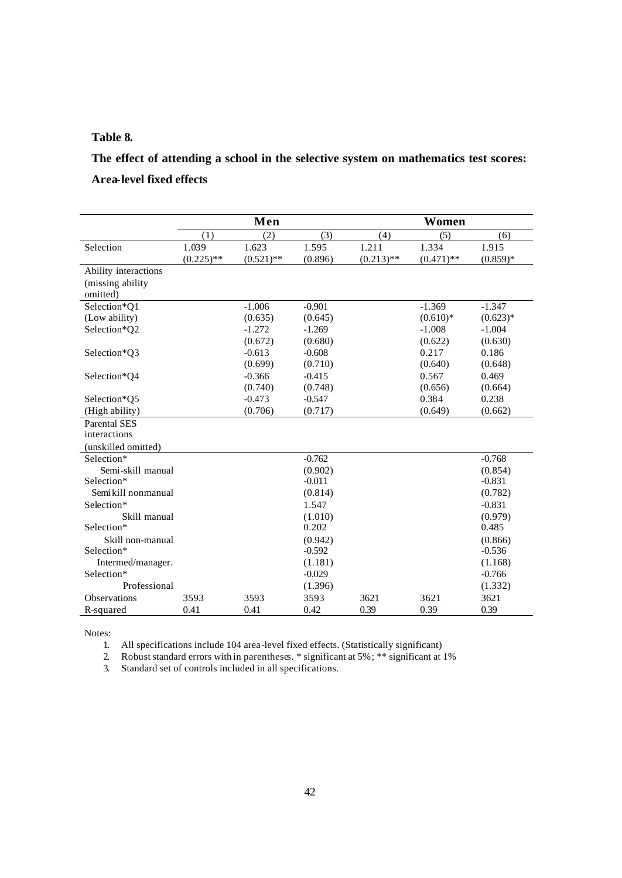### **Table 8.**

# **The effect of attending a school in the selective system on mathematics test scores: Area-level fixed effects**

|                               |                       | Men                   |                  |                       | Women                 |                     |
|-------------------------------|-----------------------|-----------------------|------------------|-----------------------|-----------------------|---------------------|
|                               | (1)                   | (2)                   | (3)              | (4)                   | (5)                   | (6)                 |
| Selection                     | 1.039<br>$(0.225)$ ** | 1.623<br>$(0.521)$ ** | 1.595<br>(0.896) | 1.211<br>$(0.213)$ ** | 1.334<br>$(0.471)$ ** | 1.915<br>$(0.859)*$ |
| Ability interactions          |                       |                       |                  |                       |                       |                     |
| (missing ability)<br>omitted) |                       |                       |                  |                       |                       |                     |
| Selection*Q1                  |                       | $-1.006$              | $-0.901$         |                       | $-1.369$              | $-1.347$            |
| (Low ability)                 |                       | (0.635)               | (0.645)          |                       | $(0.610)*$            | $(0.623)*$          |
| Selection*Q2                  |                       | $-1.272$              | $-1.269$         |                       | $-1.008$              | $-1.004$            |
|                               |                       | (0.672)               | (0.680)          |                       | (0.622)               | (0.630)             |
| Selection*Q3                  |                       | $-0.613$              | $-0.608$         |                       | 0.217                 | 0.186               |
|                               |                       | (0.699)               | (0.710)          |                       | (0.640)               | (0.648)             |
| Selection*O4                  |                       | $-0.366$              | $-0.415$         |                       | 0.567                 | 0.469               |
|                               |                       | (0.740)               | (0.748)          |                       | (0.656)               | (0.664)             |
| Selection*Q5                  |                       | $-0.473$              | $-0.547$         |                       | 0.384                 | 0.238               |
| (High ability)                |                       | (0.706)               | (0.717)          |                       | (0.649)               | (0.662)             |
| <b>Parental SES</b>           |                       |                       |                  |                       |                       |                     |
| interactions                  |                       |                       |                  |                       |                       |                     |
| (unskilled omitted)           |                       |                       |                  |                       |                       |                     |
| Selection*                    |                       |                       | $-0.762$         |                       |                       | $-0.768$            |
| Semi-skill manual             |                       |                       | (0.902)          |                       |                       | (0.854)             |
| Selection*                    |                       |                       | $-0.011$         |                       |                       | $-0.831$            |
| Semikill nonmanual            |                       |                       | (0.814)          |                       |                       | (0.782)             |
| Selection*                    |                       |                       | 1.547            |                       |                       | $-0.831$            |
| Skill manual                  |                       |                       | (1.010)          |                       |                       | (0.979)             |
| Selection*                    |                       |                       | 0.202            |                       |                       | 0.485               |
| Skill non-manual              |                       |                       | (0.942)          |                       |                       | (0.866)             |
| Selection*                    |                       |                       | $-0.592$         |                       |                       | $-0.536$            |
| Intermed/manager.             |                       |                       | (1.181)          |                       |                       | (1.168)             |
| Selection*                    |                       |                       | $-0.029$         |                       |                       | $-0.766$            |
| Professional                  |                       |                       | (1.396)          |                       |                       | (1.332)             |
| <b>Observations</b>           | 3593                  | 3593                  | 3593             | 3621                  | 3621                  | 3621                |
| R-squared                     | 0.41                  | 0.41                  | 0.42             | 0.39                  | 0.39                  | 0.39                |

Notes:

1. All specifications include 104 area-level fixed effects. (Statistically significant)

2. Robust standard errors with in parentheses. \* significant at 5%; \*\* significant at 1%

3. Standard set of controls included in all specifications.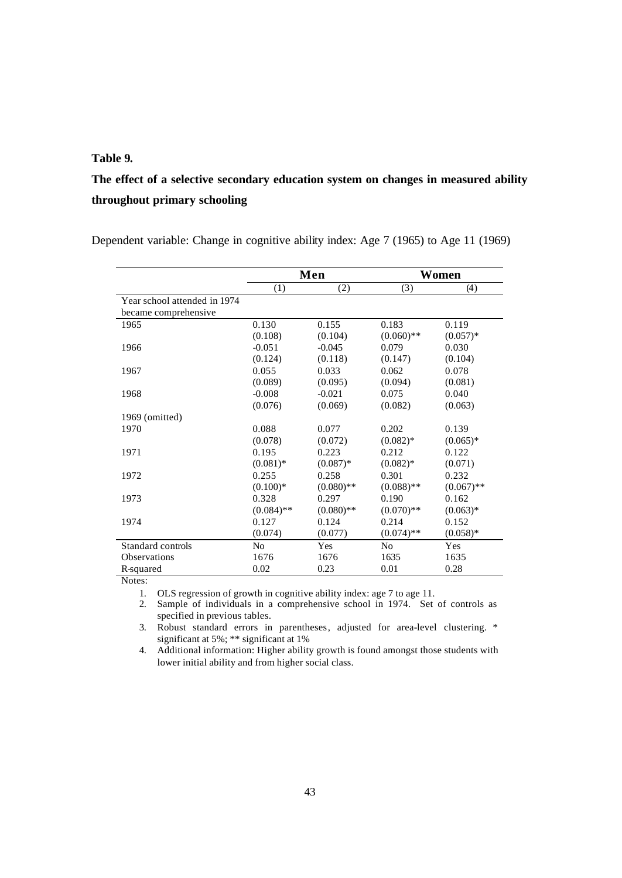### **Table 9.**

# **The effect of a selective secondary education system on changes in measured ability throughout primary schooling**

Dependent variable: Change in cognitive ability index: Age 7 (1965) to Age 11 (1969)

|                              |                | Men          |                | Women        |
|------------------------------|----------------|--------------|----------------|--------------|
|                              | (1)            | (2)          | (3)            | (4)          |
| Year school attended in 1974 |                |              |                |              |
| became comprehensive         |                |              |                |              |
| 1965                         | 0.130          | 0.155        | 0.183          | 0.119        |
|                              | (0.108)        | (0.104)      | $(0.060)$ **   | $(0.057)*$   |
| 1966                         | $-0.051$       | $-0.045$     | 0.079          | 0.030        |
|                              | (0.124)        | (0.118)      | (0.147)        | (0.104)      |
| 1967                         | 0.055          | 0.033        | 0.062          | 0.078        |
|                              | (0.089)        | (0.095)      | (0.094)        | (0.081)      |
| 1968                         | $-0.008$       | $-0.021$     | 0.075          | 0.040        |
|                              | (0.076)        | (0.069)      | (0.082)        | (0.063)      |
| 1969 (omitted)               |                |              |                |              |
| 1970                         | 0.088          | 0.077        | 0.202          | 0.139        |
|                              | (0.078)        | (0.072)      | $(0.082)*$     | $(0.065)*$   |
| 1971                         | 0.195          | 0.223        | 0.212          | 0.122        |
|                              | $(0.081)$ *    | $(0.087)*$   | $(0.082)*$     | (0.071)      |
| 1972                         | 0.255          | 0.258        | 0.301          | 0.232        |
|                              | $(0.100)*$     | $(0.080)$ ** | $(0.088)$ **   | $(0.067)$ ** |
| 1973                         | 0.328          | 0.297        | 0.190          | 0.162        |
|                              | $(0.084)$ **   | $(0.080)$ ** | $(0.070)**$    | $(0.063)*$   |
| 1974                         | 0.127          | 0.124        | 0.214          | 0.152        |
|                              | (0.074)        | (0.077)      | $(0.074)$ **   | $(0.058)*$   |
| Standard controls            | N <sub>0</sub> | Yes          | N <sub>o</sub> | Yes          |
| <b>Observations</b>          | 1676           | 1676         | 1635           | 1635         |
| R-squared                    | 0.02           | 0.23         | 0.01           | 0.28         |

Notes:

1. OLS regression of growth in cognitive ability index: age 7 to age 11.

2. Sample of individuals in a comprehensive school in 1974. Set of controls as specified in previous tables.

3. Robust standard errors in parentheses, adjusted for area-level clustering. \* significant at 5%; \*\* significant at 1%

4. Additional information: Higher ability growth is found amongst those students with lower initial ability and from higher social class.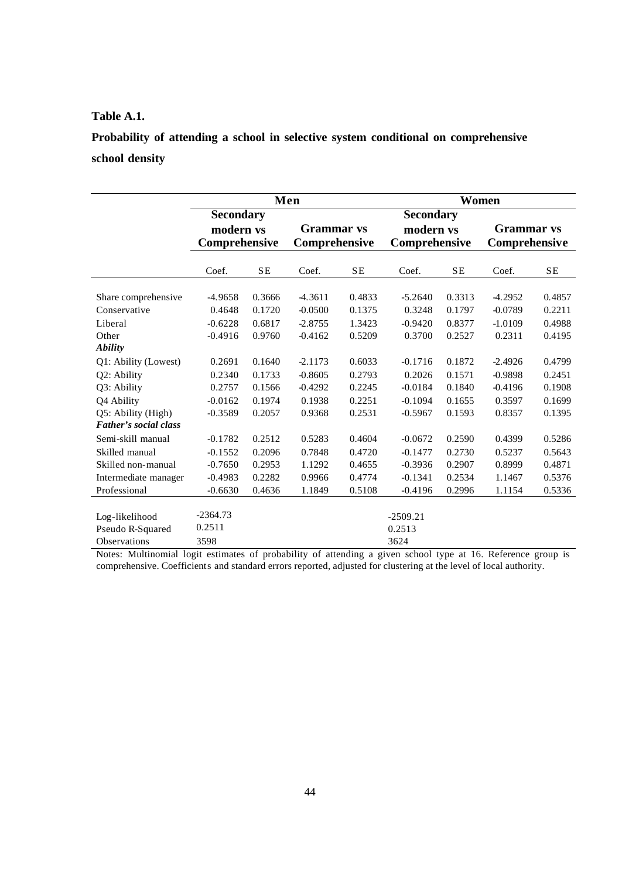### **Table A.1.**

**Probability of attending a school in selective system conditional on comprehensive school density**

|                       |                  |        | Men               |           |                  | Women     |               |        |
|-----------------------|------------------|--------|-------------------|-----------|------------------|-----------|---------------|--------|
|                       | <b>Secondary</b> |        |                   |           | <b>Secondary</b> |           |               |        |
|                       | modern vs        |        | <b>Grammar</b> vs |           | modern vs        |           | Grammar vs    |        |
|                       | Comprehensive    |        | Comprehensive     |           | Comprehensive    |           | Comprehensive |        |
|                       | Coef.            | SE     | Coef.             | <b>SE</b> | Coef.            | <b>SE</b> | Coef.         | SE     |
|                       |                  |        |                   |           |                  |           |               |        |
| Share comprehensive   | $-4.9658$        | 0.3666 | 4.3611            | 0.4833    | $-5.2640$        | 0.3313    | 4.2952        | 0.4857 |
| Conservative          | 0.4648           | 0.1720 | $-0.0500$         | 0.1375    | 0.3248           | 0.1797    | $-0.0789$     | 0.2211 |
| Liberal               | $-0.6228$        | 0.6817 | $-2.8755$         | 1.3423    | $-0.9420$        | 0.8377    | $-1.0109$     | 0.4988 |
| Other                 | $-0.4916$        | 0.9760 | $-0.4162$         | 0.5209    | 0.3700           | 0.2527    | 0.2311        | 0.4195 |
| <b>Ability</b>        |                  |        |                   |           |                  |           |               |        |
| Q1: Ability (Lowest)  | 0.2691           | 0.1640 | $-2.1173$         | 0.6033    | $-0.1716$        | 0.1872    | $-2.4926$     | 0.4799 |
| Q2: Ability           | 0.2340           | 0.1733 | $-0.8605$         | 0.2793    | 0.2026           | 0.1571    | -0.9898       | 0.2451 |
| Q3: Ability           | 0.2757           | 0.1566 | $-0.4292$         | 0.2245    | $-0.0184$        | 0.1840    | $-0.4196$     | 0.1908 |
| Q4 Ability            | $-0.0162$        | 0.1974 | 0.1938            | 0.2251    | $-0.1094$        | 0.1655    | 0.3597        | 0.1699 |
| Q5: Ability (High)    | $-0.3589$        | 0.2057 | 0.9368            | 0.2531    | $-0.5967$        | 0.1593    | 0.8357        | 0.1395 |
| Father's social class |                  |        |                   |           |                  |           |               |        |
| Semi-skill manual     | $-0.1782$        | 0.2512 | 0.5283            | 0.4604    | $-0.0672$        | 0.2590    | 0.4399        | 0.5286 |
| Skilled manual        | $-0.1552$        | 0.2096 | 0.7848            | 0.4720    | $-0.1477$        | 0.2730    | 0.5237        | 0.5643 |
| Skilled non-manual    | $-0.7650$        | 0.2953 | 1.1292            | 0.4655    | $-0.3936$        | 0.2907    | 0.8999        | 0.4871 |
| Intermediate manager  | $-0.4983$        | 0.2282 | 0.9966            | 0.4774    | $-0.1341$        | 0.2534    | 1.1467        | 0.5376 |
| Professional          | $-0.6630$        | 0.4636 | 1.1849            | 0.5108    | $-0.4196$        | 0.2996    | 1.1154        | 0.5336 |
|                       |                  |        |                   |           |                  |           |               |        |
| Log-likelihood        | $-2364.73$       |        |                   |           | $-2509.21$       |           |               |        |
| Pseudo R-Squared      | 0.2511           |        |                   |           | 0.2513           |           |               |        |
| <b>Observations</b>   | 3598             |        |                   |           | 3624             |           |               |        |

Notes: Multinomial logit estimates of probability of attending a given school type at 16. Reference group is comprehensive. Coefficients and standard errors reported, adjusted for clustering at the level of local authority.